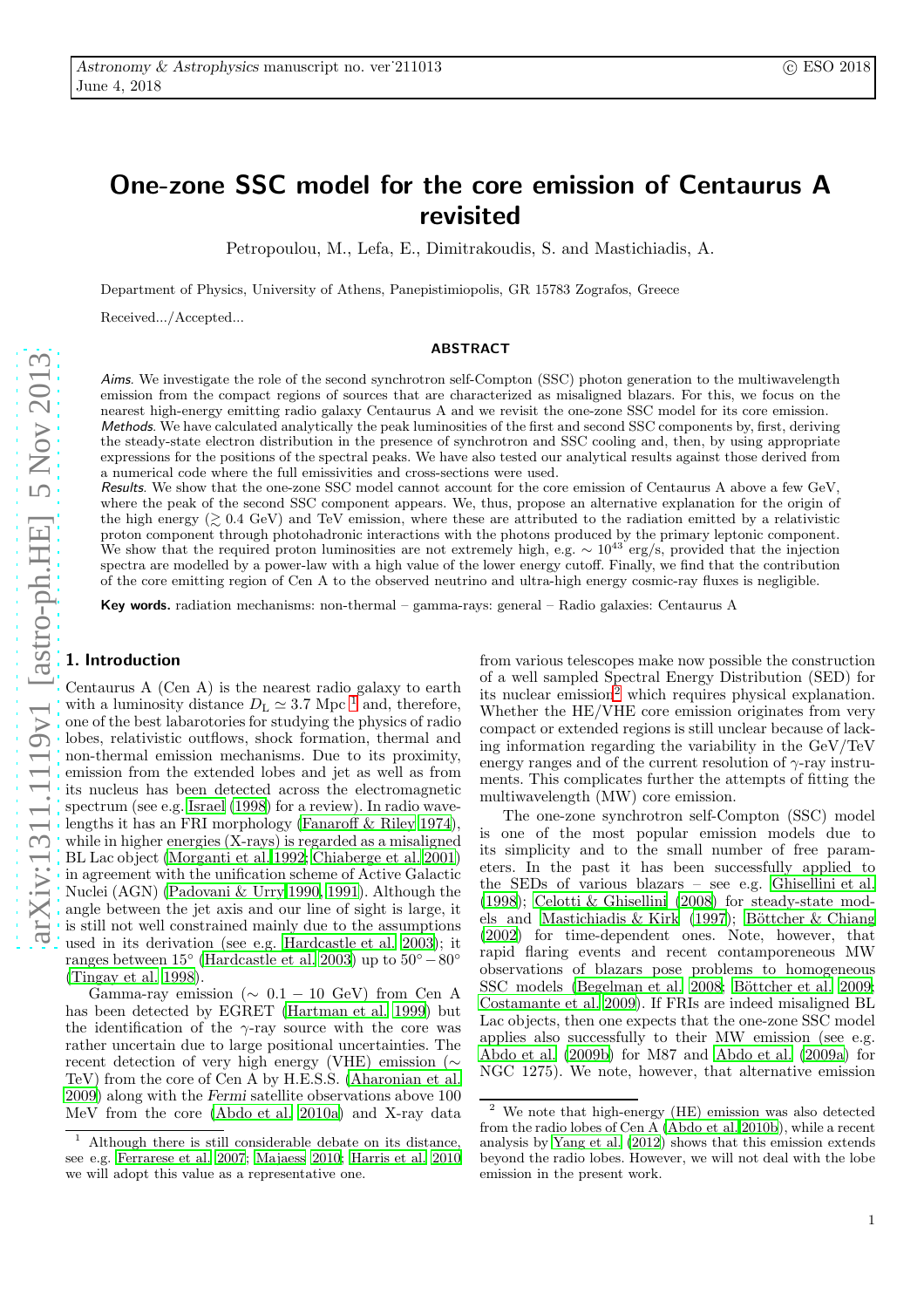# One-zone SSC model for the core emission of Centaurus A revisited

Petropoulou, M., Lefa, E., Dimitrakoudis, S. and Mastichiadis, A.

Department of Physics, University of Athens, Panepistimiopolis, GR 15783 Zografos, Greece

Received.../Accepted...

#### **ABSTRACT**

Aims. We investigate the role of the second synchrotron self-Compton (SSC) photon generation to the multiwavelength emission from the compact regions of sources that are characterized as misaligned blazars. For this, we focus on the nearest high-energy emitting radio galaxy Centaurus A and we revisit the one-zone SSC model for its core emission. Methods. We have calculated analytically the peak luminosities of the first and second SSC components by, first, deriving the steady-state electron distribution in the presence of synchrotron and SSC cooling and, then, by using appropriate expressions for the positions of the spectral peaks. We have also tested our analytical results against those derived from a numerical code where the full emissivities and cross-sections were used.

Results. We show that the one-zone SSC model cannot account for the core emission of Centaurus A above a few GeV, where the peak of the second SSC component appears. We, thus, propose an alternative explanation for the origin of the high energy  $(\gtrsim 0.4 \text{ GeV})$  and TeV emission, where these are attributed to the radiation emitted by a relativistic proton component through photohadronic interactions with the photons produced by the primary leptonic component. We show that the required proton luminosities are not extremely high, e.g.  $\sim 10^{43}$  erg/s, provided that the injection spectra are modelled by a power-law with a high value of the lower energy cutoff. Finally, we find that the contribution of the core emitting region of Cen A to the observed neutrino and ultra-high energy cosmic-ray fluxes is negligible.

Key words. radiation mechanisms: non-thermal – gamma-rays: general – Radio galaxies: Centaurus A

### 1. Introduction

Centaurus A (Cen A) is the nearest radio galaxy to earth with a luminosity distance  $D_{\rm L} \simeq 3.7$  Mpc <sup>[1](#page-0-0)</sup> and, therefore, one of the best labarotories for studying the physics of radio lobes, relativistic outflows, shock formation, thermal and non-thermal emission mechanisms. Due to its proximity, emission from the extended lobes and jet as well as from its nucleus has been detected across the electromagnetic spectrum (see e.g. [Israel \(1998](#page-10-0)) for a review). In radio wavelengths it has an FRI morphology [\(Fanaroff & Riley 1974\)](#page-10-1), while in higher energies (X-rays) is regarded as a misaligned BL Lac object [\(Morganti et al. 1992](#page-10-2); [Chiaberge et al. 2001](#page-10-3)) in agreement with the unification scheme of Active Galactic Nuclei (AGN) [\(Padovani & Urry 1990,](#page-10-4) [1991\)](#page-10-5). Although the angle between the jet axis and our line of sight is large, it is still not well constrained mainly due to the assumptions used in its derivation (see e.g. [Hardcastle et al. 2003](#page-10-6)); it ranges between  $15\degree$  [\(Hardcastle et al. 2003](#page-10-6)) up to  $50\degree - 80\degree$ [\(Tingay et al. 1998](#page-11-0)).

Gamma-ray emission ( $\sim 0.1 - 10$  GeV) from Cen A has been detected by EGRET [\(Hartman et al. 1999\)](#page-10-7) but the identification of the  $\gamma$ -ray source with the core was rather uncertain due to large positional uncertainties. The recent detection of very high energy (VHE) emission (∼ TeV) from the core of Cen A by H.E.S.S. [\(Aharonian et al.](#page-10-8) [2009](#page-10-8)) along with the Fermi satellite observations above 100 MeV from the core [\(Abdo et al. 2010a\)](#page-10-9) and X-ray data from various telescopes make now possible the construction of a well sampled Spectral Energy Distribution (SED) for its nuclear emission<sup>[2](#page-0-1)</sup> which requires physical explanation. Whether the HE/VHE core emission originates from very compact or extended regions is still unclear because of lacking information regarding the variability in the GeV/TeV energy ranges and of the current resolution of  $\gamma$ -ray instruments. This complicates further the attempts of fitting the multiwavelength (MW) core emission.

The one-zone synchrotron self-Compton (SSC) model is one of the most popular emission models due to its simplicity and to the small number of free parameters. In the past it has been successfully applied to the SEDs of various blazars – see e.g. [Ghisellini et al.](#page-10-13) [\(1998\)](#page-10-13); [Celotti & Ghisellini \(2008\)](#page-10-14) for steady-state mod-els and [Mastichiadis & Kirk \(1997\)](#page-10-15); Böttcher & Chiang [\(2002\)](#page-10-16) for time-dependent ones. Note, however, that rapid flaring events and recent contamporeneous MW observations of blazars pose problems to homogeneous SSC models [\(Begelman et al. 2008;](#page-10-17) Böttcher et al. 2009; [Costamante et al. 2009](#page-10-19)). If FRIs are indeed misaligned BL Lac objects, then one expects that the one-zone SSC model applies also successfully to their MW emission (see e.g. [Abdo et al. \(2009b\)](#page-10-20) for M87 and [Abdo et al. \(2009a\)](#page-10-21) for NGC 1275). We note, however, that alternative emission

<span id="page-0-0"></span><sup>1</sup> Although there is still considerable debate on its distance, see e.g. [Ferrarese et al. 2007](#page-10-10); [Majaess 2010](#page-10-11); [Harris et al. 2010](#page-10-12) we will adopt this value as a representative one.

<span id="page-0-1"></span><sup>2</sup> We note that high-energy (HE) emission was also detected from the radio lobes of Cen A [\(Abdo et al. 2010b](#page-10-22)), while a recent analysis by [Yang et al. \(2012](#page-11-1)) shows that this emission extends beyond the radio lobes. However, we will not deal with the lobe emission in the present work.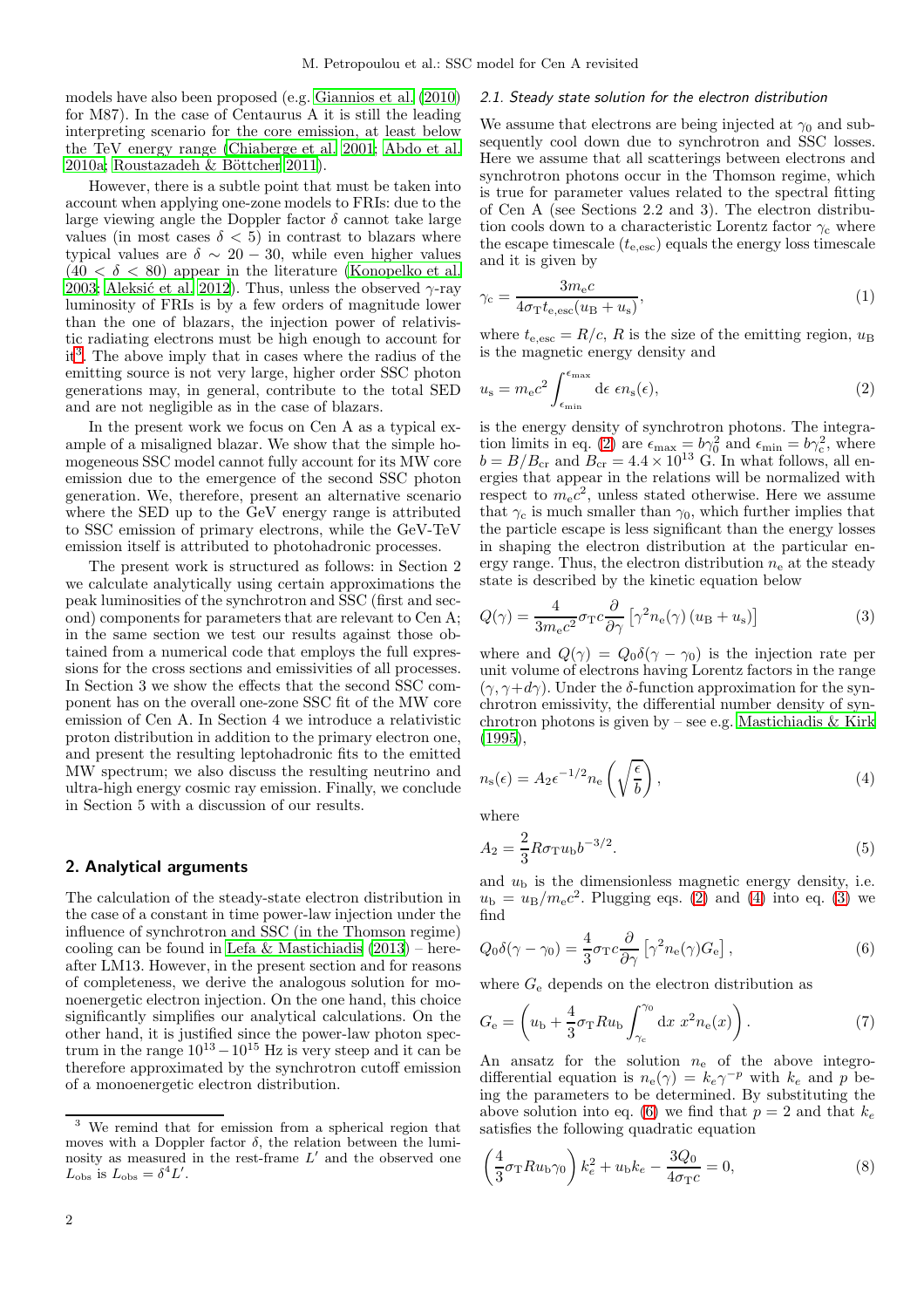models have also been proposed (e.g. [Giannios et al. \(2010](#page-10-23)) for M87). In the case of Centaurus A it is still the leading interpreting scenario for the core emission, at least below the TeV energy range [\(Chiaberge et al. 2001;](#page-10-3) [Abdo et al.](#page-10-9) [2010a;](#page-10-9) Roustazadeh & Böttcher 2011).

However, there is a subtle point that must be taken into account when applying one-zone models to FRIs: due to the large viewing angle the Doppler factor  $\delta$  cannot take large values (in most cases  $\delta < 5$ ) in contrast to blazars where typical values are  $\delta \sim 20 - 30$ , while even higher values  $(40 < \delta < 80)$  appear in the literature [\(Konopelko et al.](#page-10-24) [2003](#page-10-24); Aleksić et al. 2012). Thus, unless the observed  $\gamma$ -ray luminosity of FRIs is by a few orders of magnitude lower than the one of blazars, the injection power of relativistic radiating electrons must be high enough to account for it[3](#page-1-0) . The above imply that in cases where the radius of the emitting source is not very large, higher order SSC photon generations may, in general, contribute to the total SED and are not negligible as in the case of blazars.

In the present work we focus on Cen A as a typical example of a misaligned blazar. We show that the simple homogeneous SSC model cannot fully account for its MW core emission due to the emergence of the second SSC photon generation. We, therefore, present an alternative scenario where the SED up to the GeV energy range is attributed to SSC emission of primary electrons, while the GeV-TeV emission itself is attributed to photohadronic processes.

The present work is structured as follows: in Section 2 we calculate analytically using certain approximations the peak luminosities of the synchrotron and SSC (first and second) components for parameters that are relevant to Cen A; in the same section we test our results against those obtained from a numerical code that employs the full expressions for the cross sections and emissivities of all processes. In Section 3 we show the effects that the second SSC component has on the overall one-zone SSC fit of the MW core emission of Cen A. In Section 4 we introduce a relativistic proton distribution in addition to the primary electron one, and present the resulting leptohadronic fits to the emitted MW spectrum; we also discuss the resulting neutrino and ultra-high energy cosmic ray emission. Finally, we conclude in Section 5 with a discussion of our results.

#### 2. Analytical arguments

The calculation of the steady-state electron distribution in the case of a constant in time power-law injection under the influence of synchrotron and SSC (in the Thomson regime) cooling can be found in Lefa & Mastichiadis  $(2013)$  – hereafter LM13. However, in the present section and for reasons of completeness, we derive the analogous solution for monoenergetic electron injection. On the one hand, this choice significantly simplifies our analytical calculations. On the other hand, it is justified since the power-law photon spectrum in the range  $10^{13} - 10^{15}$  Hz is very steep and it can be therefore approximated by the synchrotron cutoff emission of a monoenergetic electron distribution.

#### 2.1. Steady state solution for the electron distribution

We assume that electrons are being injected at  $\gamma_0$  and subsequently cool down due to synchrotron and SSC losses. Here we assume that all scatterings between electrons and synchrotron photons occur in the Thomson regime, which is true for parameter values related to the spectral fitting of Cen A (see Sections 2.2 and 3). The electron distribution cools down to a characteristic Lorentz factor  $\gamma_c$  where the escape timescale  $(t_{\rm e,esc})$  equals the energy loss timescale and it is given by

$$
\gamma_{\rm c} = \frac{3m_{\rm e}c}{4\sigma_{\rm T}t_{\rm e,esc}(u_{\rm B} + u_{\rm s})},\tag{1}
$$

where  $t_{\text{e,esc}} = R/c$ , R is the size of the emitting region,  $u_{\text{B}}$ is the magnetic energy density and

<span id="page-1-1"></span>
$$
u_{\rm s} = m_{\rm e}c^2 \int_{\epsilon_{\rm min}}^{\epsilon_{\rm max}} d\epsilon \ \epsilon n_{\rm s}(\epsilon),\tag{2}
$$

is the energy density of synchrotron photons. The integra-tion limits in eq. [\(2\)](#page-1-1) are  $\epsilon_{\text{max}} = b\gamma_0^2$  and  $\epsilon_{\text{min}} = b\gamma_c^2$ , where  $b = B/B_{cr}$  and  $B_{cr} = 4.4 \times 10^{13}$  G. In what follows, all energies that appear in the relations will be normalized with respect to  $m_{\rm e}c^2$ , unless stated otherwise. Here we assume that  $\gamma_c$  is much smaller than  $\gamma_0$ , which further implies that the particle escape is less significant than the energy losses in shaping the electron distribution at the particular energy range. Thus, the electron distribution  $n_e$  at the steady state is described by the kinetic equation below

<span id="page-1-3"></span>
$$
Q(\gamma) = \frac{4}{3m_{\rm e}c^2} \sigma_{\rm T}c \frac{\partial}{\partial \gamma} \left[ \gamma^2 n_{\rm e}(\gamma) \left( u_{\rm B} + u_{\rm s} \right) \right]
$$
(3)

where and  $Q(\gamma) = Q_0 \delta(\gamma - \gamma_0)$  is the injection rate per unit volume of electrons having Lorentz factors in the range  $(\gamma, \gamma+d\gamma)$ . Under the δ-function approximation for the synchrotron emissivity, the differential number density of synchrotron photons is given by – see e.g. [Mastichiadis & Kirk](#page-10-27) [\(1995\)](#page-10-27),

<span id="page-1-2"></span>
$$
n_{\rm s}(\epsilon) = A_2 \epsilon^{-1/2} n_{\rm e} \left( \sqrt{\frac{\epsilon}{b}} \right),\tag{4}
$$

where

$$
A_2 = \frac{2}{3} R \sigma_{\rm T} u_{\rm b} b^{-3/2}.
$$
\n(5)

and  $u<sub>b</sub>$  is the dimensionless magnetic energy density, i.e.  $u_{\rm b} = u_{\rm B}/m_{\rm e}c^2$ . Plugging eqs. [\(2\)](#page-1-1) and [\(4\)](#page-1-2) into eq. [\(3\)](#page-1-3) we find

<span id="page-1-4"></span>
$$
Q_0 \delta(\gamma - \gamma_0) = \frac{4}{3} \sigma_{\rm T} c \frac{\partial}{\partial \gamma} \left[ \gamma^2 n_{\rm e}(\gamma) G_{\rm e} \right],\tag{6}
$$

where  $G_e$  depends on the electron distribution as

$$
G_{\rm e} = \left(u_{\rm b} + \frac{4}{3}\sigma_{\rm T}Ru_{\rm b}\int_{\gamma_{\rm c}}^{\gamma_0} \mathrm{d}x \ x^2 n_{\rm e}(x)\right). \tag{7}
$$

An ansatz for the solution  $n_e$  of the above integrodifferential equation is  $n_e(\gamma) = k_e \gamma^{-p}$  with  $k_e$  and p being the parameters to be determined. By substituting the above solution into eq. [\(6\)](#page-1-4) we find that  $p = 2$  and that  $k_e$ satisfies the following quadratic equation

$$
\left(\frac{4}{3}\sigma_{\rm T}Ru_{\rm b}\gamma_0\right)k_e^2 + u_{\rm b}k_e - \frac{3Q_0}{4\sigma_{\rm T}c} = 0,\tag{8}
$$

<span id="page-1-0"></span>We remind that for emission from a spherical region that moves with a Doppler factor  $\delta$ , the relation between the luminosity as measured in the rest-frame  $L'$  and the observed one  $L_{\rm obs}$  is  $L_{\rm obs} = \delta^4 L'$ .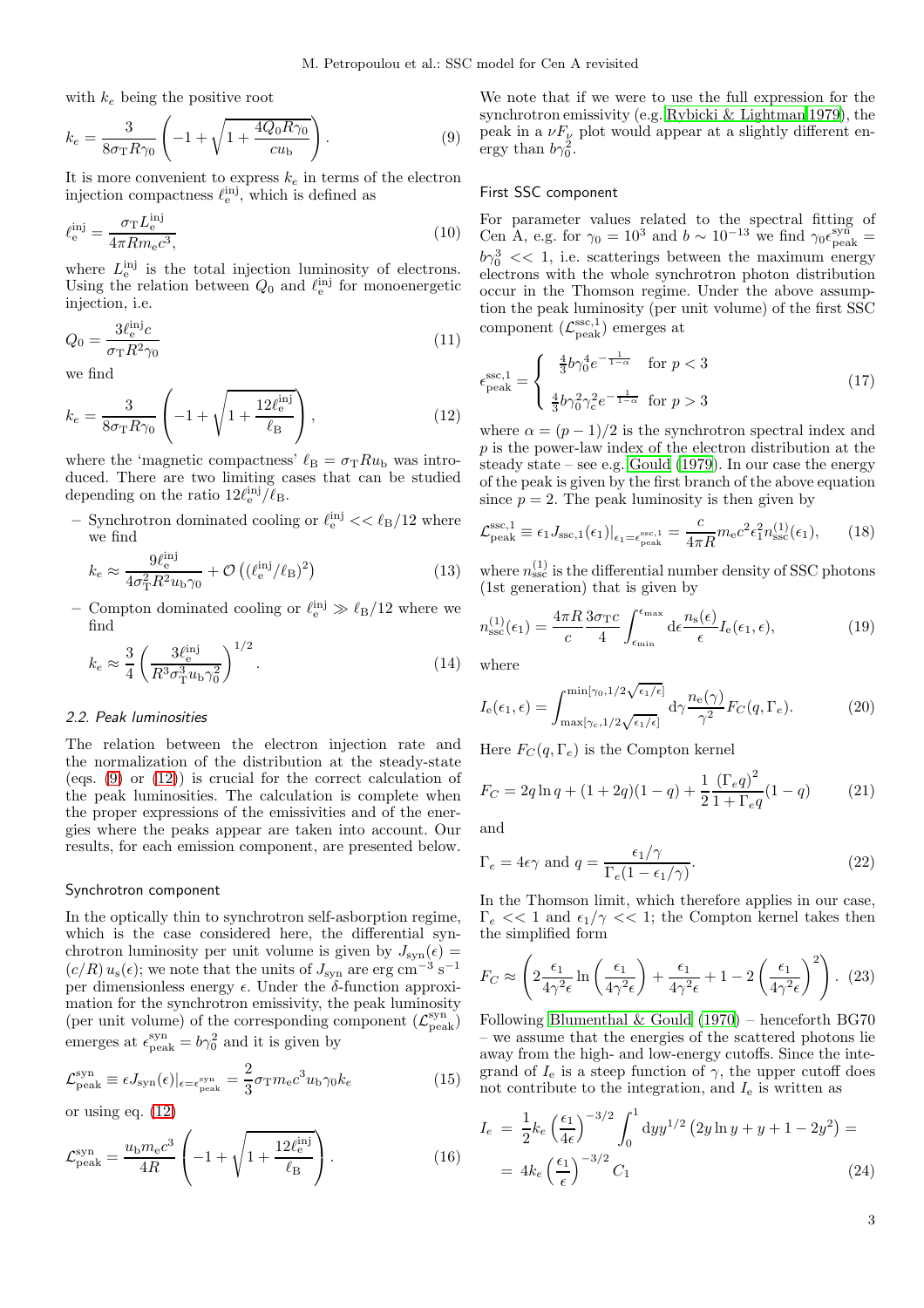$\lambda$ 

with  $k_e$  being the positive root

<span id="page-2-0"></span>
$$
k_e = \frac{3}{8\sigma_{\rm T} R \gamma_0} \left( -1 + \sqrt{1 + \frac{4Q_0 R \gamma_0}{c u_{\rm b}}} \right).
$$
 (9)

It is more convenient to express  $k_e$  in terms of the electron injection compactness  $\ell_{\rm e}^{\rm inj}$ , which is defined as

$$
\ell_{\rm e}^{\rm inj} = \frac{\sigma_{\rm T} L_{\rm e}^{\rm inj}}{4\pi R m_{\rm e} c^3},\tag{10}
$$

where  $L_e^{\text{inj}}$  is the total injection luminosity of electrons. Using the relation between  $Q_0$  and  $\ell_{\rm e}^{\rm inj}$  for monoenergetic injection, i.e.

$$
Q_0 = \frac{3\ell_{\rm e}^{\rm inj}c}{\sigma_{\rm T}R^2\gamma_0} \tag{11}
$$

we find

<span id="page-2-1"></span>
$$
k_e = \frac{3}{8\sigma_{\rm T}R\gamma_0} \left( -1 + \sqrt{1 + \frac{12\ell_{\rm e}^{\rm inj}}{\ell_{\rm B}}} \right),\tag{12}
$$

where the 'magnetic compactness'  $\ell_{\text{B}} = \sigma_{\text{T}} R u_{\text{b}}$  was introduced. There are two limiting cases that can be studied depending on the ratio  $12\ell_{\rm e}^{\rm inj}/\ell_{\rm B}$ .

– Synchrotron dominated cooling or  $\ell_{\rm e}^{\rm inj} << \ell_{\rm B}/12$  where we find

$$
k_e \approx \frac{9\ell_{\rm e}^{\rm inj}}{4\sigma_{\rm T}^2 R^2 u_{\rm b} \gamma_0} + \mathcal{O}\left((\ell_{\rm e}^{\rm inj}/\ell_{\rm B})^2\right) \tag{13}
$$

– Compton dominated cooling or  $\ell_{\rm e}^{\rm inj} \gg \ell_{\rm B}/12$  where we find

$$
k_e \approx \frac{3}{4} \left( \frac{3\ell_e^{\text{inj}}}{R^3 \sigma_T^3 u_b \gamma_0^2} \right)^{1/2}.
$$
 (14)

#### 2.2. Peak luminosities

The relation between the electron injection rate and the normalization of the distribution at the steady-state (eqs.  $(9)$  or  $(12)$ ) is crucial for the correct calculation of the peak luminosities. The calculation is complete when the proper expressions of the emissivities and of the energies where the peaks appear are taken into account. Our results, for each emission component, are presented below.

#### Synchrotron component

In the optically thin to synchrotron self-asborption regime, which is the case considered here, the differential synchrotron luminosity per unit volume is given by  $J_{syn}(\epsilon)$  =  $(c/R) u_s(\epsilon)$ ; we note that the units of  $J_{syn}$  are erg cm<sup>-3</sup> s<sup>-1</sup> per dimensionless energy  $\epsilon$ . Under the  $\delta$ -function approximation for the synchrotron emissivity, the peak luminosity (per unit volume) of the corresponding component  $(\mathcal{L}_{\rm peak}^{\rm syn})$ ) emerges at  $\epsilon_{\text{peak}}^{\text{syn}} = b\gamma_0^2$  and it is given by

$$
\mathcal{L}_{\text{peak}}^{\text{syn}} \equiv \epsilon J_{\text{syn}}(\epsilon)|_{\epsilon = \epsilon_{\text{peak}}^{\text{syn}}} = \frac{2}{3} \sigma_{\text{T}} m_{\text{e}} c^3 u_{\text{b}} \gamma_0 k_e \tag{15}
$$

or using eq. [\(12\)](#page-2-1)

<span id="page-2-4"></span>
$$
\mathcal{L}_{\text{peak}}^{\text{syn}} = \frac{u_{\text{b}} m_{\text{e}} c^3}{4R} \left( -1 + \sqrt{1 + \frac{12 \ell_{\text{e}}^{\text{inj}}}{\ell_{\text{B}}}} \right). \tag{16}
$$

We note that if we were to use the full expression for the synchrotron emissivity (e.g. [Rybicki & Lightman 1979\)](#page-11-3), the peak in a  $\nu F_{\nu}$  plot would appear at a slightly different energy than  $b\gamma_0^2$ .

#### First SSC component

For parameter values related to the spectral fitting of Cen A, e.g. for  $\gamma_0 = 10^3$  and  $b \sim 10^{-13}$  we find  $\gamma_0 \epsilon_{\rm peak}^{\rm syn} =$  $b\gamma_0^3 \ll 1$ , i.e. scatterings between the maximum energy electrons with the whole synchrotron photon distribution occur in the Thomson regime. Under the above assumption the peak luminosity (per unit volume) of the first SSC component  $(\mathcal{L}^{\text{ssc},1}_{\text{peak}})$  emerges at

$$
\epsilon_{\text{peak}}^{\text{ssc},1} = \begin{cases} \frac{4}{3}b\gamma_0^4 e^{-\frac{1}{1-\alpha}} & \text{for } p < 3\\ \frac{4}{3}b\gamma_0^2 \gamma_c^2 e^{-\frac{1}{1-\alpha}} & \text{for } p > 3 \end{cases} \tag{17}
$$

where  $\alpha = (p-1)/2$  is the synchrotron spectral index and  $p$  is the power-law index of the electron distribution at the steady state – see e.g. Gould  $(1979)$ . In our case the energy of the peak is given by the first branch of the above equation since  $p = 2$ . The peak luminosity is then given by

<span id="page-2-3"></span>
$$
\mathcal{L}_{\text{peak}}^{\text{ssc},1} \equiv \epsilon_1 J_{\text{ssc},1}(\epsilon_1)|_{\epsilon_1 = \epsilon_{\text{peak}}^{\text{ssc},1}} = \frac{c}{4\pi R} m_{\text{e}} c^2 \epsilon_1^2 n_{\text{ssc}}^{(1)}(\epsilon_1),\qquad(18)
$$

where  $n_{\rm ssc}^{(1)}$  is the differential number density of SSC photons (1st generation) that is given by

<span id="page-2-2"></span>
$$
n_{\rm ssc}^{(1)}(\epsilon_1) = \frac{4\pi R}{c} \frac{3\sigma_{\rm T}c}{4} \int_{\epsilon_{\rm min}}^{\epsilon_{\rm max}} d\epsilon \frac{n_{\rm s}(\epsilon)}{\epsilon} I_{\rm e}(\epsilon_1, \epsilon), \tag{19}
$$

where

$$
I_{\mathbf{e}}(\epsilon_1, \epsilon) = \int_{\max[\gamma_{\mathbf{e}}, 1/2\sqrt{\epsilon_1/\epsilon}]}^{\min[\gamma_0, 1/2\sqrt{\epsilon_1/\epsilon}]} d\gamma \frac{n_{\mathbf{e}}(\gamma)}{\gamma^2} F_C(q, \Gamma_e). \tag{20}
$$

Here  $F_C(q, \Gamma_e)$  is the Compton kernel

$$
F_C = 2q \ln q + (1 + 2q)(1 - q) + \frac{1}{2} \frac{(\Gamma_e q)^2}{1 + \Gamma_e q} (1 - q)
$$
 (21)

and

$$
\Gamma_e = 4\epsilon \gamma \text{ and } q = \frac{\epsilon_1/\gamma}{\Gamma_e (1 - \epsilon_1/\gamma)}.
$$
\n(22)

In the Thomson limit, which therefore applies in our case,  $\Gamma_e \ll 1$  and  $\epsilon_1/\gamma \ll 1$ ; the Compton kernel takes then the simplified form

$$
F_C \approx \left(2\frac{\epsilon_1}{4\gamma^2\epsilon} \ln\left(\frac{\epsilon_1}{4\gamma^2\epsilon}\right) + \frac{\epsilon_1}{4\gamma^2\epsilon} + 1 - 2\left(\frac{\epsilon_1}{4\gamma^2\epsilon}\right)^2\right). (23)
$$

Following Blumenthal  $\&$  Gould (1970) – henceforth BG70 – we assume that the energies of the scattered photons lie away from the high- and low-energy cutoffs. Since the integrand of  $I_e$  is a steep function of  $\gamma$ , the upper cutoff does not contribute to the integration, and  $I<sub>e</sub>$  is written as

$$
I_e = \frac{1}{2} k_e \left(\frac{\epsilon_1}{4\epsilon}\right)^{-3/2} \int_0^1 dy y^{1/2} (2y \ln y + y + 1 - 2y^2) =
$$
  
=  $4k_e \left(\frac{\epsilon_1}{\epsilon}\right)^{-3/2} C_1$  (24)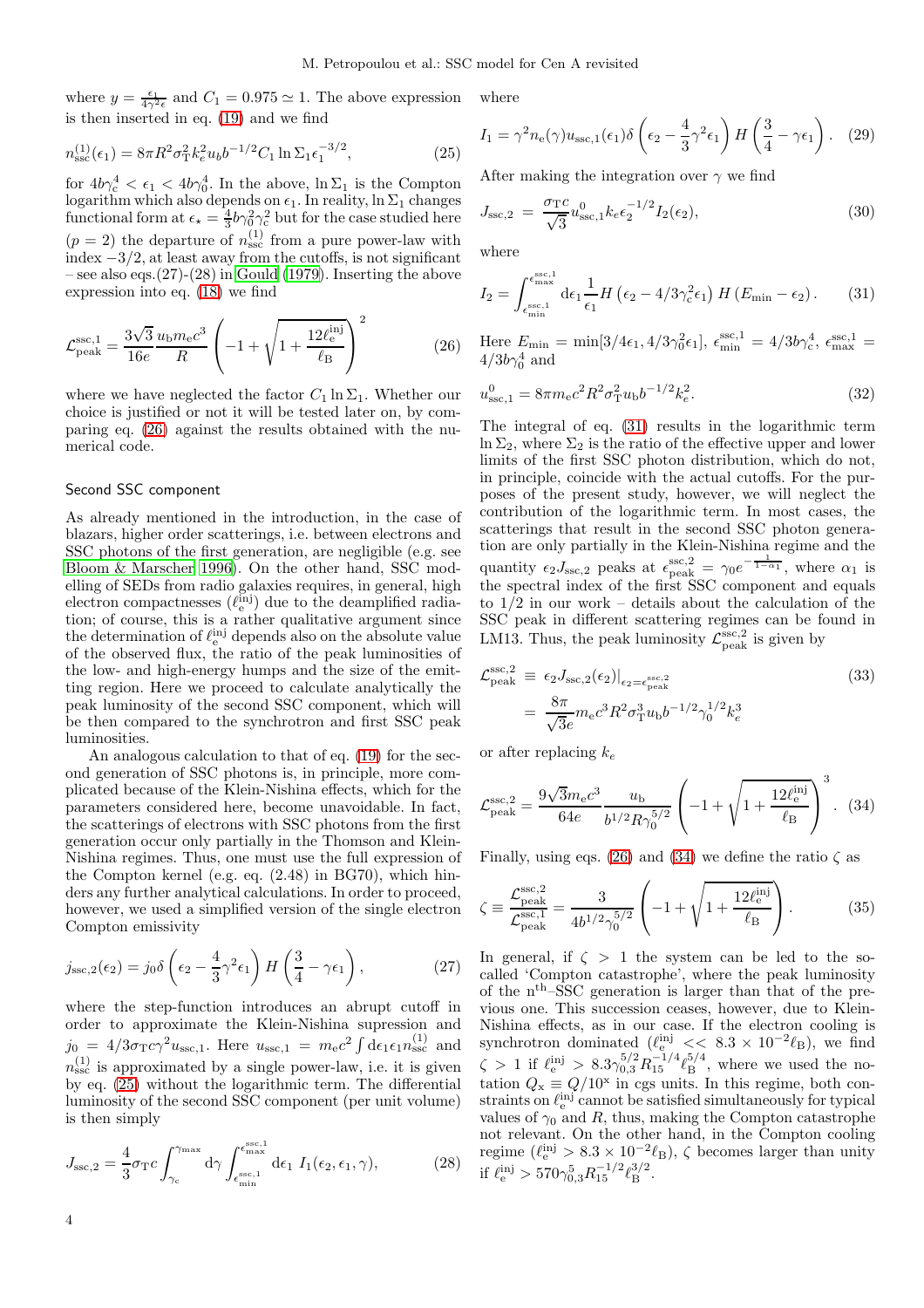where  $y = \frac{\epsilon_1}{4\gamma^2 \epsilon}$  and  $C_1 = 0.975 \simeq 1$ . The above expression is then inserted in eq. [\(19\)](#page-2-2) and we find

<span id="page-3-1"></span>
$$
n_{\rm ssc}^{(1)}(\epsilon_1) = 8\pi R^2 \sigma_{\rm T}^2 k_e^2 u_b b^{-1/2} C_1 \ln \Sigma_1 \epsilon_1^{-3/2},\tag{25}
$$

for  $4b\gamma_c^4 < \epsilon_1 < 4b\gamma_0^4$ . In the above,  $\ln \Sigma_1$  is the Compton logarithm which also depends on  $\epsilon_1$ . In reality, ln  $\Sigma_1$  changes functional form at  $\epsilon_{\star} = \frac{4}{3}b\gamma_0^2\gamma_c^2$  but for the case studied here  $(p = 2)$  the departure of  $n_{\rm ssc}^{(1)}$  from a pure power-law with index  $-3/2$ , at least away from the cutoffs, is not significant – see also eqs. $(27)-(28)$  in [Gould \(1979\)](#page-10-28). Inserting the above expression into eq. [\(18\)](#page-2-3) we find

<span id="page-3-0"></span>
$$
\mathcal{L}_{\text{peak}}^{\text{ssc},1} = \frac{3\sqrt{3}}{16e} \frac{u_{\text{b}} m_{\text{e}} c^3}{R} \left( -1 + \sqrt{1 + \frac{12\ell_{\text{e}}^{\text{inj}}}{\ell_{\text{B}}}} \right)^2 \tag{26}
$$

where we have neglected the factor  $C_1 \ln \Sigma_1$ . Whether our choice is justified or not it will be tested later on, by comparing eq. [\(26\)](#page-3-0) against the results obtained with the numerical code.

# Second SSC component

As already mentioned in the introduction, in the case of blazars, higher order scatterings, i.e. between electrons and SSC photons of the first generation, are negligible (e.g. see [Bloom & Marscher 1996](#page-10-30)). On the other hand, SSC modelling of SEDs from radio galaxies requires, in general, high electron compactnesses  $(\ell_{\rm e}^{\rm inj})$  due to the deamplified radiation; of course, this is a rather qualitative argument since the determination of  $\ell_{\rm e}^{\rm inj}$  depends also on the absolute value of the observed flux, the ratio of the peak luminosities of the low- and high-energy humps and the size of the emitting region. Here we proceed to calculate analytically the peak luminosity of the second SSC component, which will be then compared to the synchrotron and first SSC peak luminosities.

An analogous calculation to that of eq. [\(19\)](#page-2-2) for the second generation of SSC photons is, in principle, more complicated because of the Klein-Nishina effects, which for the parameters considered here, become unavoidable. In fact, the scatterings of electrons with SSC photons from the first generation occur only partially in the Thomson and Klein-Nishina regimes. Thus, one must use the full expression of the Compton kernel (e.g. eq. (2.48) in BG70), which hinders any further analytical calculations. In order to proceed, however, we used a simplified version of the single electron Compton emissivity

$$
j_{\rm ssc,2}(\epsilon_2) = j_0 \delta \left(\epsilon_2 - \frac{4}{3} \gamma^2 \epsilon_1\right) H\left(\frac{3}{4} - \gamma \epsilon_1\right),\tag{27}
$$

where the step-function introduces an abrupt cutoff in order to approximate the Klein-Nishina supression and  $j_0 = 4/3\sigma_{\rm T}c\gamma^2u_{\rm ssc,1}$ . Here  $u_{\rm ssc,1} = m_{\rm e}c^2\int{\rm d}\epsilon_1\epsilon_1n_{\rm ssc}^{(1)}$  and  $n_{\rm ssc}^{(1)}$  is approximated by a single power-law, i.e. it is given by eq. [\(25\)](#page-3-1) without the logarithmic term. The differential luminosity of the second SSC component (per unit volume) is then simply

$$
J_{\rm ssc,2} = \frac{4}{3} \sigma_{\rm T} c \int_{\gamma_{\rm c}}^{\gamma_{\rm max}} d\gamma \int_{\epsilon_{\rm min}^{\rm ssc,1}}^{\epsilon_{\rm max}^{\rm sc,1}} d\epsilon_1 \ I_1(\epsilon_2, \epsilon_1, \gamma), \tag{28}
$$

where

$$
I_1 = \gamma^2 n_e(\gamma) u_{\rm ssc,1}(\epsilon_1) \delta \left(\epsilon_2 - \frac{4}{3} \gamma^2 \epsilon_1\right) H\left(\frac{3}{4} - \gamma \epsilon_1\right). \tag{29}
$$

After making the integration over  $\gamma$  we find

$$
J_{\rm ssc,2} = \frac{\sigma_{\rm T} c}{\sqrt{3}} u_{\rm ssc,1}^0 k_e \epsilon_2^{-1/2} I_2(\epsilon_2), \tag{30}
$$

where

<span id="page-3-2"></span>
$$
I_2 = \int_{\epsilon_{\min}^{\text{esc},1}}^{\epsilon_{\max}^{\text{esc},1}} \mathrm{d}\epsilon_1 \frac{1}{\epsilon_1} H\left(\epsilon_2 - 4/3\gamma_c^2 \epsilon_1\right) H\left(E_{\min} - \epsilon_2\right). \tag{31}
$$

Here  $E_{\min} = \min[3/4\epsilon_1, 4/3\gamma_0^2\epsilon_1], \ \epsilon_{\min}^{\text{ssc},1} = 4/3b\gamma_c^4, \ \epsilon_{\max}^{\text{ssc},1} =$  $4/3b\gamma_0^4$  and

$$
u_{\text{ssc},1}^{0} = 8\pi m_{\text{e}}c^{2}R^{2}\sigma_{\text{T}}^{2}u_{\text{b}}b^{-1/2}k_{e}^{2}.
$$
 (32)

The integral of eq. [\(31\)](#page-3-2) results in the logarithmic term  $\ln \Sigma_2$ , where  $\Sigma_2$  is the ratio of the effective upper and lower limits of the first SSC photon distribution, which do not, in principle, coincide with the actual cutoffs. For the purposes of the present study, however, we will neglect the contribution of the logarithmic term. In most cases, the scatterings that result in the second SSC photon generation are only partially in the Klein-Nishina regime and the quantity  $\epsilon_2 J_{\rm ssc,2}$  peaks at  $\epsilon_{\rm peak}^{\rm ssc,2} = \gamma_0 e^{-\frac{1}{1-\alpha_1}}$ , where  $\alpha_1$  is the spectral index of the first SSC component and equals to  $1/2$  in our work – details about the calculation of the SSC peak in different scattering regimes can be found in LM13. Thus, the peak luminosity  $\mathcal{L}_{\text{peak}}^{\text{ssc},2}$  is given by

$$
\mathcal{L}_{\text{peak}}^{\text{ssc},2} \equiv \left. \epsilon_2 J_{\text{ssc},2}(\epsilon_2) \right|_{\epsilon_2 = \epsilon_{\text{peak}}^{\text{ssc},2}} \tag{33}
$$
\n
$$
= \frac{8\pi}{\sqrt{3}e} m_{\text{e}} c^3 R^2 \sigma_{\text{T}}^3 u_{\text{b}} b^{-1/2} \gamma_0^{1/2} k_e^3
$$

or after replacing  $k_e$ 

<span id="page-3-3"></span>
$$
\mathcal{L}_{\text{peak}}^{\text{ssc},2} = \frac{9\sqrt{3}m_{\text{e}}c^3}{64e} \frac{u_{\text{b}}}{b^{1/2}R\gamma_0^{5/2}} \left(-1 + \sqrt{1 + \frac{12\ell_{\text{e}}^{\text{inj}}}{\ell_{\text{B}}}}\right)^3. \tag{34}
$$

Finally, using eqs. [\(26\)](#page-3-0) and [\(34\)](#page-3-3) we define the ratio  $\zeta$  as

<span id="page-3-4"></span>
$$
\zeta \equiv \frac{\mathcal{L}_{\text{peak}}^{\text{ssc},2}}{\mathcal{L}_{\text{peak}}^{\text{ssc},1}} = \frac{3}{4b^{1/2}\gamma_0^{5/2}} \left( -1 + \sqrt{1 + \frac{12\ell_{\text{e}}^{\text{inj}}}{\ell_{\text{B}}}} \right). \tag{35}
$$

In general, if  $\zeta > 1$  the system can be led to the socalled 'Compton catastrophe', where the peak luminosity of the nth–SSC generation is larger than that of the previous one. This succession ceases, however, due to Klein-Nishina effects, as in our case. If the electron cooling is synchrotron dominated  $(\ell_{\rm e}^{\rm ini} << 8.3 \times 10^{-2} \ell_{\rm B})$ , we find  $\zeta > 1$  if  $\ell_{\rm e}^{\rm inj} > 8.3 \gamma_{0,3}^{5/2} R_{15}^{-1/4} \ell_{\rm B}^{5/4}$  $_{\rm B}^{5/4}$ , where we used the notation  $Q_x \equiv Q/10^x$  in cgs units. In this regime, both constraints on  $\ell_{\rm e}^{\rm inj}$  cannot be satisfied simultaneously for typical values of  $\gamma_0$  and R, thus, making the Compton catastrophe not relevant. On the other hand, in the Compton cooling regime  $(\ell_{\rm e}^{\rm inj} > 8.3 \times 10^{-2} \ell_{\rm B})$ ,  $\zeta$  becomes larger than unity if  $\ell_{\rm e}^{\rm inj} > 570\gamma_{0,3}^5 R_{15}^{-1/2} \ell_{\rm B}^{3/2}$  $\frac{5}{2}$ .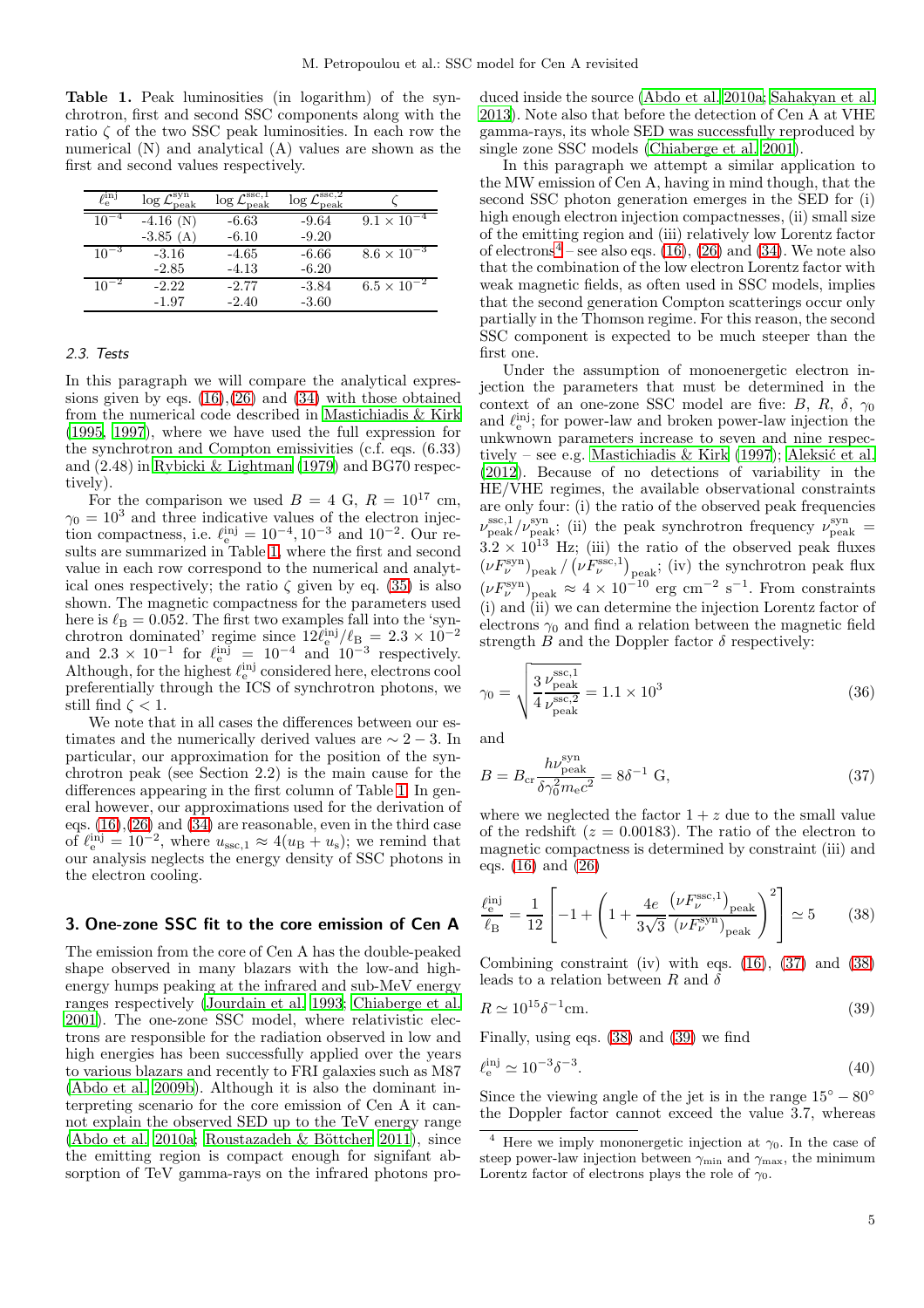<span id="page-4-0"></span>Table 1. Peak luminosities (in logarithm) of the synchrotron, first and second SSC components along with the ratio  $\zeta$  of the two SSC peak luminosities. In each row the numerical (N) and analytical (A) values are shown as the first and second values respectively.

| $\ell_{\rm e}^{\rm inj}$ | $\log{\mathcal{L}}_{\rm peak}^{\rm syn}$ | $\gamma$ ssc, 1<br>$\log{\mathcal{L}_{\rm peak}^{-1}}$ | $\log \mathcal{L}^{\mathrm{ssc},2}$<br>peak |                      |
|--------------------------|------------------------------------------|--------------------------------------------------------|---------------------------------------------|----------------------|
| $10^{-4}$                | $-4.16$ (N)                              | $-6.63$                                                | $-9.64$                                     | $9.1 \times 10^{-4}$ |
|                          | $-3.85(A)$                               | $-6.10$                                                | $-9.20$                                     |                      |
| $10^{-3}$                | $-3.16$                                  | $-4.65$                                                | $-6.66$                                     | $8.6 \times 10^{-3}$ |
|                          | $-2.85$                                  | $-4.13$                                                | $-6.20$                                     |                      |
| $10^{-2}$                | $-2.22$                                  | $-2.77$                                                | $-3.84$                                     | $6.5 \times 10^{-2}$ |
|                          | $-1.97$                                  | $-2.40$                                                | $-3.60$                                     |                      |
|                          |                                          |                                                        |                                             |                      |

# 2.3. Tests

In this paragraph we will compare the analytical expressions given by eqs.  $(16),(26)$  $(16),(26)$  and  $(34)$  with those obtained from the numerical code described in [Mastichiadis & Kirk](#page-10-27) [\(1995,](#page-10-27) [1997](#page-10-15)), where we have used the full expression for the synchrotron and Compton emissivities (c.f. eqs. (6.33) and (2.48) in [Rybicki & Lightman \(1979\)](#page-11-3) and BG70 respectively).

For the comparison we used  $B = 4$  G,  $R = 10^{17}$  cm,  $\gamma_0 = 10^3$  and three indicative values of the electron injection compactness, i.e.  $\ell_{\rm e}^{\rm inj} = 10^{-4}, 10^{-3}$  and  $10^{-2}$ . Our results are summarized in Table [1,](#page-4-0) where the first and second value in each row correspond to the numerical and analytical ones respectively; the ratio  $\zeta$  given by eq. [\(35\)](#page-3-4) is also shown. The magnetic compactness for the parameters used here is  $\ell_{\rm B} = 0.052$ . The first two examples fall into the 'synchrotron dominated' regime since  $12\ell_{\rm e}^{\rm inj}/\ell_{\rm B} = 2.3 \times 10^{-2}$ and  $2.3 \times 10^{-1}$  for  $\ell_{\rm e}^{\rm inj} = 10^{-4}$  and  $10^{-3}$  respectively. Although, for the highest  $\ell_{\rm e}^{\rm inj}$  considered here, electrons cool preferentially through the ICS of synchrotron photons, we still find  $\zeta < 1$ .

We note that in all cases the differences between our estimates and the numerically derived values are  $\sim 2 - 3$ . In particular, our approximation for the position of the synchrotron peak (see Section 2.2) is the main cause for the differences appearing in the first column of Table [1.](#page-4-0) In general however, our approximations used for the derivation of eqs. [\(16\)](#page-2-4),[\(26\)](#page-3-0) and [\(34\)](#page-3-3) are reasonable, even in the third case of  $\ell_{\rm e}^{\rm inj} = 10^{-2}$ , where  $u_{\rm ssc,1} \approx 4(u_{\rm B} + u_{\rm s})$ ; we remind that our analysis neglects the energy density of SSC photons in the electron cooling.

# 3. One-zone SSC fit to the core emission of Cen A

The emission from the core of Cen A has the double-peaked shape observed in many blazars with the low-and highenergy humps peaking at the infrared and sub-MeV energy ranges respectively [\(Jourdain et al. 1993;](#page-10-31) [Chiaberge et al.](#page-10-3) [2001](#page-10-3)). The one-zone SSC model, where relativistic electrons are responsible for the radiation observed in low and high energies has been successfully applied over the years to various blazars and recently to FRI galaxies such as M87 [\(Abdo et al. 2009b\)](#page-10-20). Although it is also the dominant interpreting scenario for the core emission of Cen A it cannot explain the observed SED up to the TeV energy range [\(Abdo et al. 2010a;](#page-10-9) Roustazadeh & Böttcher 2011), since the emitting region is compact enough for signifant absorption of TeV gamma-rays on the infrared photons produced inside the source [\(Abdo et al. 2010a](#page-10-9); [Sahakyan et al.](#page-11-4) [2013\)](#page-11-4). Note also that before the detection of Cen A at VHE gamma-rays, its whole SED was successfully reproduced by single zone SSC models [\(Chiaberge et al. 2001](#page-10-3)).

In this paragraph we attempt a similar application to the MW emission of Cen A, having in mind though, that the second SSC photon generation emerges in the SED for (i) high enough electron injection compactnesses, (ii) small size of the emitting region and (iii) relatively low Lorentz factor of electrons<sup>[4](#page-4-1)</sup> – see also eqs.  $(16)$ ,  $(26)$  and  $(34)$ . We note also that the combination of the low electron Lorentz factor with weak magnetic fields, as often used in SSC models, implies that the second generation Compton scatterings occur only partially in the Thomson regime. For this reason, the second SSC component is expected to be much steeper than the first one.

Under the assumption of monoenergetic electron injection the parameters that must be determined in the context of an one-zone SSC model are five: B, R,  $\delta$ ,  $\gamma_0$ and  $\ell_{\rm e}^{\rm inj}$ ; for power-law and broken power-law injection the unkwnown parameters increase to seven and nine respec-tively – see e.g. [Mastichiadis & Kirk \(1997\)](#page-10-15); Aleksić et al. [\(2012\)](#page-10-25). Because of no detections of variability in the HE/VHE regimes, the available observational constraints are only four: (i) the ratio of the observed peak frequencies  $\nu_{\text{peak}}^{\text{ssc},1}/\nu_{\text{peak}}^{\text{syn}}$ ; (ii) the peak synchrotron frequency  $\nu_{\text{peak}}^{\text{syn}}$  =  $3.2 \times 10^{13}$  Hz; (iii) the ratio of the observed peak fluxes  $(\nu F_{\nu}^{\text{syn}})_{\text{peak}} / (\nu F_{\nu}^{\text{ssc},1})_{\text{peak}};$  (iv) the synchrotron peak flux  $(\nu F_{\nu}^{\text{syn}})_{\text{peak}} \approx 4 \times 10^{-10} \text{ erg cm}^{-2} \text{ s}^{-1}$ . From constraints (i) and (ii) we can determine the injection Lorentz factor of electrons  $\gamma_0$  and find a relation between the magnetic field strength B and the Doppler factor  $\delta$  respectively:

$$
\gamma_0 = \sqrt{\frac{3 \, \nu_{\rm peak}^{\rm ssc,1}}{4 \, \nu_{\rm peak}^{\rm ssc,2}}} = 1.1 \times 10^3
$$
\n(36)

and

<span id="page-4-2"></span>
$$
B = B_{\rm cr} \frac{h\nu_{\rm peak}^{\rm syn}}{\delta\gamma_0^2 m_{\rm e}c^2} = 8\delta^{-1} \text{ G},\tag{37}
$$

where we neglected the factor  $1 + z$  due to the small value of the redshift ( $z = 0.00183$ ). The ratio of the electron to magnetic compactness is determined by constraint (iii) and eqs. [\(16\)](#page-2-4) and [\(26\)](#page-3-0)

<span id="page-4-3"></span>
$$
\frac{\ell_{\rm e}^{\rm inj}}{\ell_{\rm B}} = \frac{1}{12} \left[ -1 + \left( 1 + \frac{4e}{3\sqrt{3}} \frac{\left( \nu F_{\nu}^{\rm sc,1} \right)_{\rm peak}}{\left( \nu F_{\nu}^{\rm syn} \right)_{\rm peak}} \right)^2 \right] \simeq 5 \tag{38}
$$

Combining constraint (iv) with eqs.  $(16)$ ,  $(37)$  and  $(38)$ leads to a relation between R and  $\delta$ 

<span id="page-4-4"></span>
$$
R \simeq 10^{15} \delta^{-1} \text{cm}.\tag{39}
$$

Finally, using eqs. [\(38\)](#page-4-3) and [\(39\)](#page-4-4) we find

$$
\ell_{\rm e}^{\rm inj} \simeq 10^{-3} \delta^{-3}.
$$
\n(40)

Since the viewing angle of the jet is in the range  $15° - 80°$ the Doppler factor cannot exceed the value  $3.7$ , whereas

<span id="page-4-1"></span><sup>&</sup>lt;sup>4</sup> Here we imply mononergetic injection at  $\gamma_0$ . In the case of steep power-law injection between  $\gamma_{\text{min}}$  and  $\gamma_{\text{max}}$ , the minimum Lorentz factor of electrons plays the role of  $\gamma_0$ .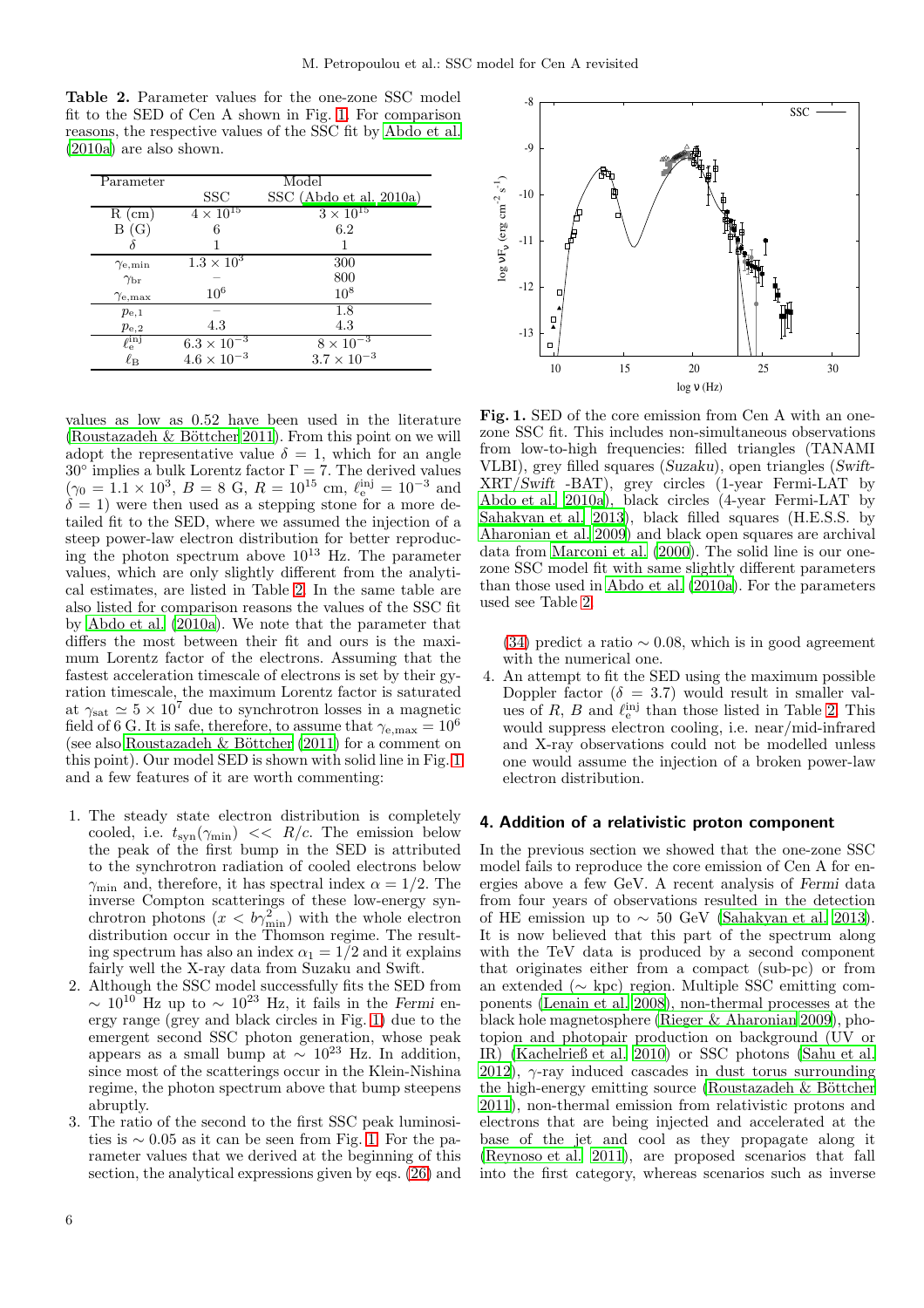<span id="page-5-1"></span>Table 2. Parameter values for the one-zone SSC model fit to the SED of Cen A shown in Fig. [1.](#page-5-0) For comparison reasons, the respective values of the SSC fit by [Abdo et al.](#page-10-9) [\(2010a\)](#page-10-9) are also shown.

| Parameter                |                              | Model                   |
|--------------------------|------------------------------|-------------------------|
|                          | SSC                          | SSC (Abdo et al. 2010a) |
| $R$ (cm)                 | $4 \times 10^{15}$           | $3 \times 10^{15}$      |
| B(G)                     | 6                            | 6.2                     |
|                          |                              |                         |
| $\gamma_{\rm e,min}$     | $1.3 \times \overline{10^3}$ | 300                     |
| $\gamma_{\rm br}$        |                              | 800                     |
| $\gamma_{\rm e, max}$    | 10 <sup>6</sup>              | $10^8$                  |
| $p_{\rm e,1}$            |                              | 1.8                     |
| $p_{\rm e,2}$            | 4.3                          | 4.3                     |
| $\ell_{\rm e}^{\rm inj}$ | $6.3 \times 10^{-3}$         | $8 \times 10^{-3}$      |
| $\ell_{\rm B}$           | $4.6\times10^{-3}$           | $3.7 \times 10^{-3}$    |

values as low as 0.52 have been used in the literature (Roustazadeh  $\&$  Böttcher 2011). From this point on we will adopt the representative value  $\delta = 1$ , which for an angle  $30^{\circ}$  implies a bulk Lorentz factor  $\Gamma = 7$ . The derived values  $(\gamma_0 = 1.1 \times 10^3, B = 8 \text{ G}, R = 10^{15} \text{ cm}, \ell_{\rm e}^{\rm inj} = 10^{-3} \text{ and}$  $\delta = 1$ ) were then used as a stepping stone for a more detailed fit to the SED, where we assumed the injection of a steep power-law electron distribution for better reproducing the photon spectrum above  $10^{13}$  Hz. The parameter values, which are only slightly different from the analytical estimates, are listed in Table [2.](#page-5-1) In the same table are also listed for comparison reasons the values of the SSC fit by [Abdo et al. \(2010a\)](#page-10-9). We note that the parameter that differs the most between their fit and ours is the maximum Lorentz factor of the electrons. Assuming that the fastest acceleration timescale of electrons is set by their gyration timescale, the maximum Lorentz factor is saturated at  $\gamma_{\text{sat}} \simeq 5 \times 10^7$  due to synchrotron losses in a magnetic field of 6 G. It is safe, therefore, to assume that  $\gamma_{e,\text{max}} = 10^6$ (see also Roustazadeh  $\&$  Böttcher (2011) for a comment on this point). Our model SED is shown with solid line in Fig. [1](#page-5-0) and a few features of it are worth commenting:

- 1. The steady state electron distribution is completely cooled, i.e.  $t_{syn}(\gamma_{min}) \ll R/c$ . The emission below the peak of the first bump in the SED is attributed to the synchrotron radiation of cooled electrons below  $\gamma_{\rm min}$  and, therefore, it has spectral index  $\alpha = 1/2$ . The inverse Compton scatterings of these low-energy synchrotron photons  $(x < b\gamma_{\min}^2)$  with the whole electron distribution occur in the Thomson regime. The resulting spectrum has also an index  $\alpha_1 = 1/2$  and it explains fairly well the X-ray data from Suzaku and Swift.
- 2. Although the SSC model successfully fits the SED from  $\sim 10^{10}$  Hz up to  $\sim 10^{23}$  Hz, it fails in the Fermi energy range (grey and black circles in Fig. [1\)](#page-5-0) due to the emergent second SSC photon generation, whose peak appears as a small bump at  $\sim 10^{23}$  Hz. In addition, since most of the scatterings occur in the Klein-Nishina regime, the photon spectrum above that bump steepens abruptly.
- 3. The ratio of the second to the first SSC peak luminosities is  $∼ 0.05$  as it can be seen from Fig. [1.](#page-5-0) For the parameter values that we derived at the beginning of this section, the analytical expressions given by eqs. [\(26\)](#page-3-0) and



<span id="page-5-0"></span>Fig. 1. SED of the core emission from Cen A with an onezone SSC fit. This includes non-simultaneous observations from low-to-high frequencies: filled triangles (TANAMI VLBI), grey filled squares (Suzaku), open triangles (Swift-XRT/Swift -BAT), grey circles (1-year Fermi-LAT by [Abdo et al. 2010a\)](#page-10-9), black circles (4-year Fermi-LAT by [Sahakyan et al. 2013\)](#page-11-4), black filled squares (H.E.S.S. by [Aharonian et al. 2009\)](#page-10-8) and black open squares are archival data from [Marconi et al. \(2000\)](#page-10-32). The solid line is our onezone SSC model fit with same slightly different parameters than those used in [Abdo et al. \(2010a\)](#page-10-9). For the parameters used see Table [2.](#page-5-1)

[\(34\)](#page-3-3) predict a ratio  $\sim 0.08$ , which is in good agreement with the numerical one.

4. An attempt to fit the SED using the maximum possible Doppler factor ( $\delta = 3.7$ ) would result in smaller values of  $R$ ,  $B$  and  $\ell_{\rm e}^{\rm inj}$  than those listed in Table [2.](#page-5-1) This would suppress electron cooling, i.e. near/mid-infrared and X-ray observations could not be modelled unless one would assume the injection of a broken power-law electron distribution.

## 4. Addition of a relativistic proton component

In the previous section we showed that the one-zone SSC model fails to reproduce the core emission of Cen A for energies above a few GeV. A recent analysis of Fermi data from four years of observations resulted in the detection of HE emission up to  $\sim 50$  GeV [\(Sahakyan et al. 2013](#page-11-4)). It is now believed that this part of the spectrum along with the TeV data is produced by a second component that originates either from a compact (sub-pc) or from an extended (∼ kpc) region. Multiple SSC emitting components [\(Lenain et al. 2008](#page-10-33)), non-thermal processes at the black hole magnetosphere [\(Rieger & Aharonian 2009\)](#page-11-5), photopion and photopair production on background (UV or IR) [\(Kachelrieß et al. 2010\)](#page-10-34) or SSC photons [\(Sahu et al.](#page-11-6) [2012\)](#page-11-6),  $\gamma$ -ray induced cascades in dust torus surrounding the high-energy emitting source (Roustazadeh  $\&$  Böttcher [2011\)](#page-11-2), non-thermal emission from relativistic protons and electrons that are being injected and accelerated at the base of the jet and cool as they propagate along it [\(Reynoso et al. 2011](#page-10-35)), are proposed scenarios that fall into the first category, whereas scenarios such as inverse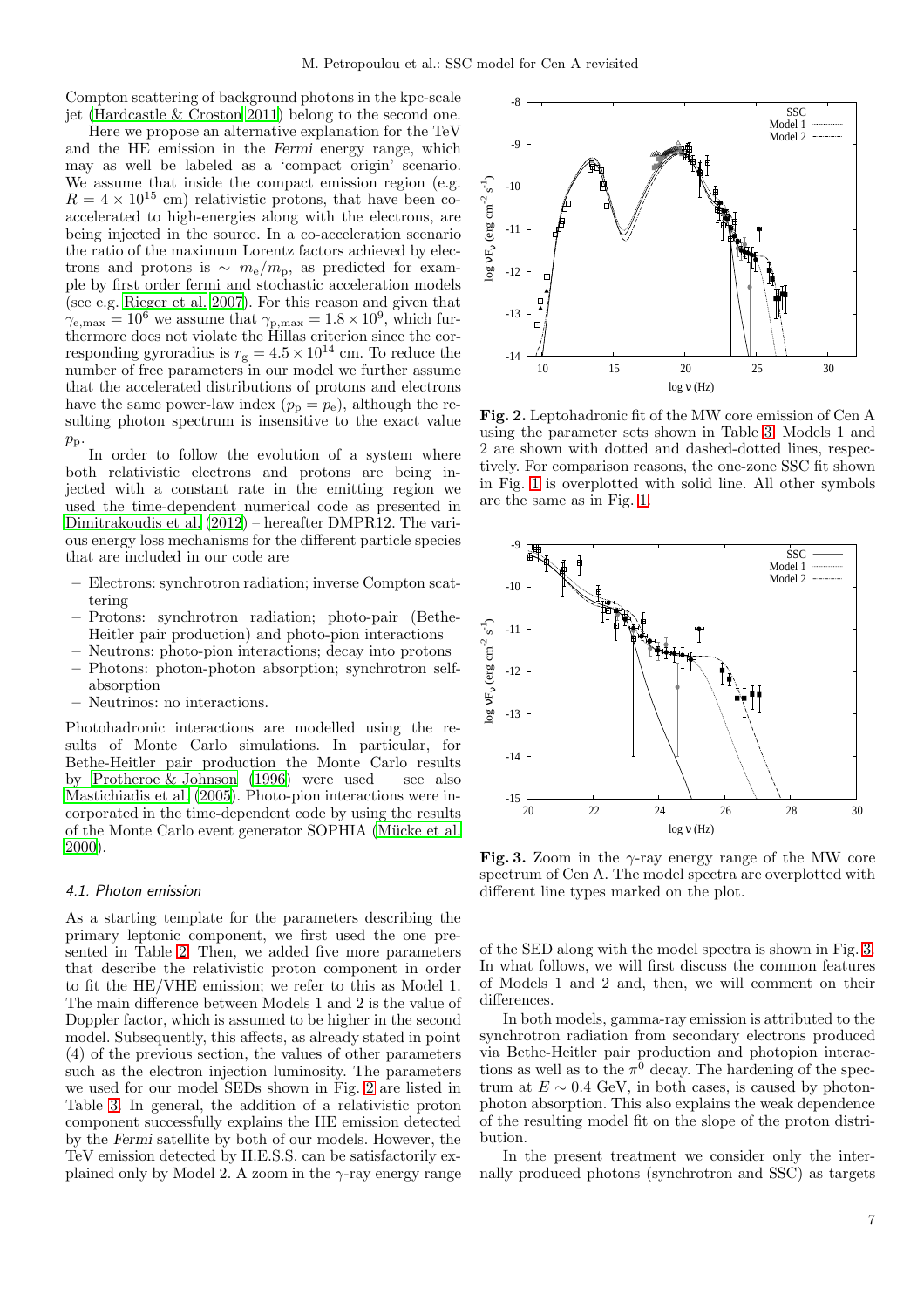Compton scattering of background photons in the kpc-scale jet (Hardcastle  $& \text{Croston 2011}$ ) belong to the second one.

Here we propose an alternative explanation for the TeV and the HE emission in the Fermi energy range, which may as well be labeled as a 'compact origin' scenario. We assume that inside the compact emission region (e.g.  $R = 4 \times 10^{15}$  cm) relativistic protons, that have been coaccelerated to high-energies along with the electrons, are being injected in the source. In a co-acceleration scenario the ratio of the maximum Lorentz factors achieved by electrons and protons is  $\sim m_e/m_p$ , as predicted for example by first order fermi and stochastic acceleration models (see e.g. [Rieger et al. 2007](#page-11-7)). For this reason and given that  $\gamma_{\rm e, max} = 10^6$  we assume that  $\gamma_{\rm p, max} = 1.8 \times 10^9$ , which furthermore does not violate the Hillas criterion since the corresponding gyroradius is  $r_g = 4.5 \times 10^{14}$  cm. To reduce the number of free parameters in our model we further assume that the accelerated distributions of protons and electrons have the same power-law index  $(p_p = p_e)$ , although the resulting photon spectrum is insensitive to the exact value  $p_{\rm p}$ 

In order to follow the evolution of a system where both relativistic electrons and protons are being injected with a constant rate in the emitting region we used the time-dependent numerical code as presented in [Dimitrakoudis et al. \(2012\)](#page-10-37) – hereafter DMPR12. The various energy loss mechanisms for the different particle species that are included in our code are

- Electrons: synchrotron radiation; inverse Compton scattering
- Protons: synchrotron radiation; photo-pair (Bethe-Heitler pair production) and photo-pion interactions
- Neutrons: photo-pion interactions; decay into protons
- Photons: photon-photon absorption; synchrotron selfabsorption
- Neutrinos: no interactions.

Photohadronic interactions are modelled using the results of Monte Carlo simulations. In particular, for Bethe-Heitler pair production the Monte Carlo results by [Protheroe & Johnson \(1996\)](#page-10-38) were used – see also [Mastichiadis et al. \(2005\)](#page-10-39). Photo-pion interactions were incorporated in the time-dependent code by using the results of the Monte Carlo event generator SOPHIA (Mücke et al. [2000](#page-10-40)).

# 4.1. Photon emission

As a starting template for the parameters describing the primary leptonic component, we first used the one presented in Table [2.](#page-5-1) Then, we added five more parameters that describe the relativistic proton component in order to fit the HE/VHE emission; we refer to this as Model 1. The main difference between Models 1 and 2 is the value of Doppler factor, which is assumed to be higher in the second model. Subsequently, this affects, as already stated in point (4) of the previous section, the values of other parameters such as the electron injection luminosity. The parameters we used for our model SEDs shown in Fig. [2](#page-6-0) are listed in Table [3.](#page-7-0) In general, the addition of a relativistic proton component successfully explains the HE emission detected by the Fermi satellite by both of our models. However, the TeV emission detected by H.E.S.S. can be satisfactorily explained only by Model 2. A zoom in the  $\gamma$ -ray energy range



<span id="page-6-0"></span>Fig. 2. Leptohadronic fit of the MW core emission of Cen A using the parameter sets shown in Table [3.](#page-7-0) Models 1 and 2 are shown with dotted and dashed-dotted lines, respectively. For comparison reasons, the one-zone SSC fit shown in Fig. [1](#page-5-0) is overplotted with solid line. All other symbols are the same as in Fig. [1.](#page-5-0)



<span id="page-6-1"></span>Fig. 3. Zoom in the  $\gamma$ -ray energy range of the MW core spectrum of Cen A. The model spectra are overplotted with different line types marked on the plot.

of the SED along with the model spectra is shown in Fig. [3.](#page-6-1) In what follows, we will first discuss the common features of Models 1 and 2 and, then, we will comment on their differences.

In both models, gamma-ray emission is attributed to the synchrotron radiation from secondary electrons produced via Bethe-Heitler pair production and photopion interactions as well as to the  $\pi^0$  decay. The hardening of the spectrum at  $E \sim 0.4$  GeV, in both cases, is caused by photonphoton absorption. This also explains the weak dependence of the resulting model fit on the slope of the proton distribution.

In the present treatment we consider only the internally produced photons (synchrotron and SSC) as targets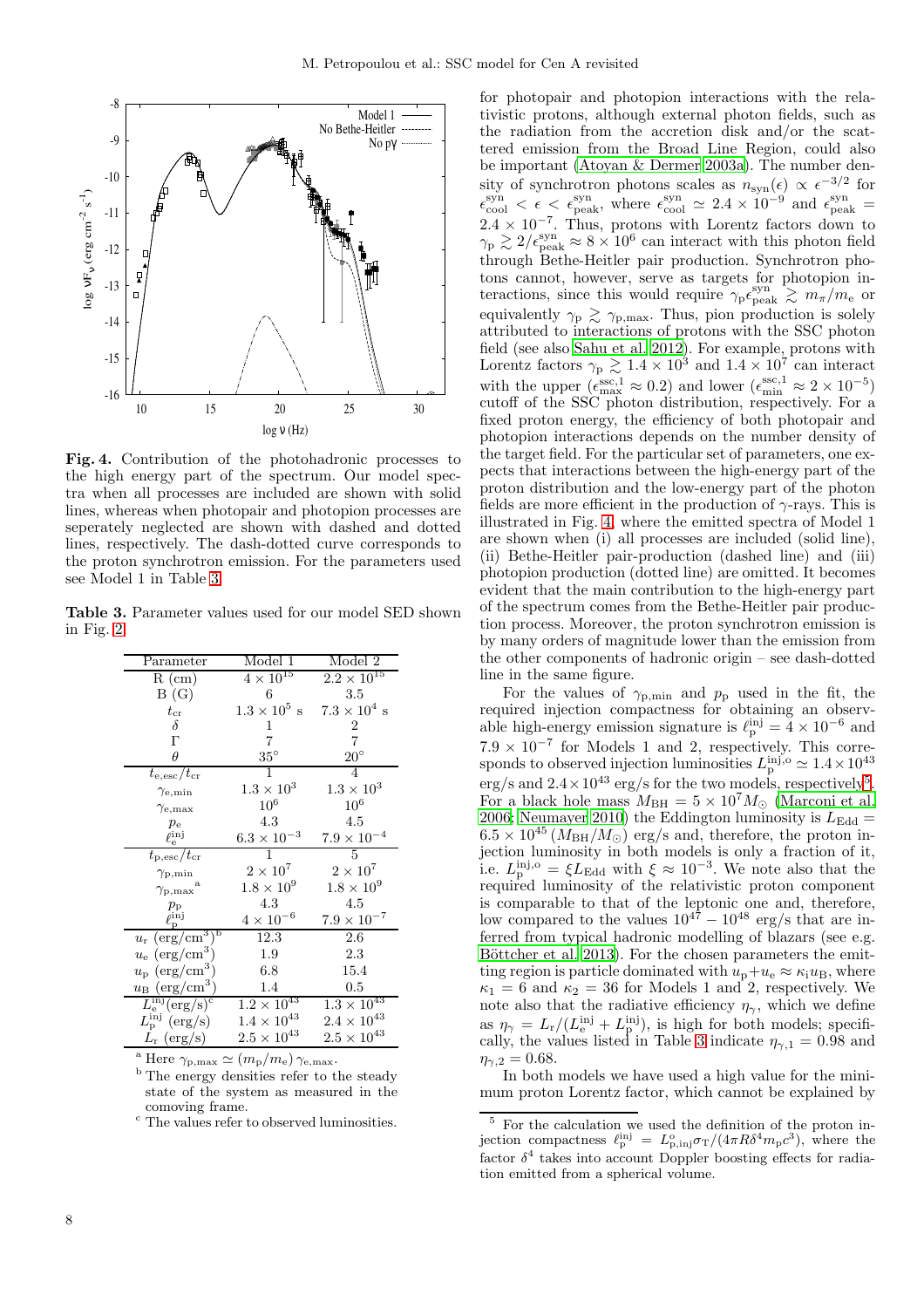

<span id="page-7-1"></span>Fig. 4. Contribution of the photohadronic processes to the high energy part of the spectrum. Our model spectra when all processes are included are shown with solid lines, whereas when photopair and photopion processes are seperately neglected are shown with dashed and dotted lines, respectively. The dash-dotted curve corresponds to the proton synchrotron emission. For the parameters used see Model 1 in Table [3.](#page-7-0)

Table 3. Parameter values used for our model SED shown in Fig. [2.](#page-6-0)

<span id="page-7-0"></span>

| Parameter                                  | Model 1                     | Model 2                        |
|--------------------------------------------|-----------------------------|--------------------------------|
| $R$ (cm)                                   | $4\times\overline{10^{15}}$ | $2.2 \times 10^{15}$           |
| B(G)                                       | 6                           | $3.5\,$                        |
| $t_{\rm cr}$                               | $1.3 \times 10^5$ s         | $7.3 \times 10^4$ s            |
| $\delta$                                   | 1                           | $\boldsymbol{2}$               |
| $\Gamma$                                   | 7                           | $\overline{7}$                 |
| $\theta$                                   | $35^{\circ}$                | $20^{\circ}$                   |
| $t_{\rm e, esc}/t_{\rm cr}$                | 1                           | 4                              |
| $\gamma_{\rm e,min}$                       | $1.3 \times 10^{3}$         | $1.3 \times 10^3$              |
| $\gamma_{\rm e, max}$                      | $10^6$                      | $10^6\,$                       |
| $p_{\rm e}$                                | 4.3                         | 4.5                            |
| $\tilde{\ell}_{\rm e}^{\rm inj}$           | $6.3 \times 10^{-3}$        | $7.9 \times 10^{-4}$           |
| $t_{\rm p,esc}/t_{\rm cr}$                 | 1                           | 5                              |
| $\gamma_{\rm p,min}$                       | $2\times10^7$               | $2\times10^7$                  |
| a<br>$\gamma_{\rm p,max}$                  | $1.8 \times 10^{9}$         | $1.8 \times 10^{9}$            |
| $p_{\rm p}$                                | 4.3                         | 4.5                            |
| $\ell_{\rm n}^{\rm inj}$                   | $4\times10^{-6}$            | $7.9\times10^{-7}$             |
| $u_{\rm r}$ (erg/cm <sup>3)b</sup>         | 12.3                        | 2.6                            |
| $u_{e}$ (erg/cm <sup>3</sup> )             | 1.9                         | 2.3                            |
| $u_{\rm p}$ (erg/cm <sup>3</sup> )         | 6.8                         | 15.4                           |
| $u_{\rm B}$ (erg/cm <sup>3</sup> )         | 1.4                         | 0.5                            |
| $L_{\rm e}^{\rm inj}({\rm erg/s})^{\rm c}$ | $1.2 \times 10^{43}$        | $1.3 \times 10^{43}$           |
| $L_{\rm p}^{\rm inj}$ (erg/s)              | $1.4\times10^{43}$          | $2.4\times10^{43}$             |
| $L_{\rm r}$ (erg/s)                        | $2.5 \times 10^{43}$        | $\underline{2.5\times10^{43}}$ |

<sup>a</sup> Here  $\gamma_{\rm p,max} \simeq (m_{\rm p}/m_{\rm e}) \gamma_{\rm e,max}$ .

<sup>b</sup> The energy densities refer to the steady state of the system as measured in the comoving frame.

<sup>c</sup> The values refer to observed luminosities.

for photopair and photopion interactions with the relativistic protons, although external photon fields, such as the radiation from the accretion disk and/or the scattered emission from the Broad Line Region, could also be important [\(Atoyan & Dermer 2003a](#page-10-41)). The number density of synchrotron photons scales as  $n_{syn}(\epsilon) \propto \epsilon^{-3/2}$  for  $\epsilon_{\text{cool}}^{\text{syn}} < \epsilon \leq \epsilon_{\text{peak}}^{\text{syn}}$ , where  $\epsilon_{\text{cool}}^{\text{syn}} \simeq 2.4 \times 10^{-9}$  and  $\epsilon_{\text{peak}}^{\text{syn}} =$  $2.4 \times 10^{-7}$ . Thus, protons with Lorentz factors down to  $\gamma_{\rm p} \gtrsim 2/\epsilon^{\rm syn}_{\rm peak} \approx 8\times 10^6$  can interact with this photon field through Bethe-Heitler pair production. Synchrotron photons cannot, however, serve as targets for photopion interactions, since this would require  $\gamma_{\rm p}\epsilon_{\rm peak}^{\rm syn} \gtrsim m_{\pi}/m_{\rm e}$  or equivalently  $\gamma_{\rm p} \gtrsim \gamma_{\rm p,max}$ . Thus, pion production is solely attributed to interactions of protons with the SSC photon field (see also [Sahu et al. 2012\)](#page-11-6). For example, protons with Lorentz factors  $\gamma_{\rm p} \gtrsim 1.4 \times 10^3$  and  $1.4 \times 10^7$  can interact with the upper  $(\epsilon_{\text{max}}^{\text{ssc},1} \approx 0.2)$  and lower  $(\epsilon_{\text{min}}^{\text{ssc},1} \approx 2 \times 10^{-5})$ cutoff of the SSC photon distribution, respectively. For a fixed proton energy, the efficiency of both photopair and photopion interactions depends on the number density of the target field. For the particular set of parameters, one expects that interactions between the high-energy part of the proton distribution and the low-energy part of the photon fields are more efficient in the production of  $\gamma$ -rays. This is illustrated in Fig. [4,](#page-7-1) where the emitted spectra of Model 1 are shown when (i) all processes are included (solid line), (ii) Bethe-Heitler pair-production (dashed line) and (iii) photopion production (dotted line) are omitted. It becomes evident that the main contribution to the high-energy part of the spectrum comes from the Bethe-Heitler pair production process. Moreover, the proton synchrotron emission is by many orders of magnitude lower than the emission from the other components of hadronic origin – see dash-dotted line in the same figure.

For the values of  $\gamma_{p,\text{min}}$  and  $p_p$  used in the fit, the required injection compactness for obtaining an observable high-energy emission signature is  $\ell_{\rm p}^{\rm inj} = 4 \times 10^{-6}$  and  $7.9 \times 10^{-7}$  for Models 1 and 2, respectively. This corresponds to observed injection luminosities  $L_p^{\text{inj,o}} \simeq 1.4 \times 10^{43}$ erg/s and  $2.4 \times 10^{43}$  erg/s for the two models, respectively<sup>[5](#page-7-2)</sup>. For a black hole mass  $M_{\text{BH}} = 5 \times 10^7 M_{\odot}$  [\(Marconi et al.](#page-10-42) [2006;](#page-10-42) [Neumayer 2010\)](#page-10-43) the Eddington luminosity is  $L_{\text{Edd}} =$  $6.5 \times 10^{45} (M_{\text{BH}}/M_{\odot})$  erg/s and, therefore, the proton injection luminosity in both models is only a fraction of it, i.e.  $L_{\rm p}^{\rm inj,o} = \xi L_{\rm Edd}$  with  $\xi \approx 10^{-3}$ . We note also that the required luminosity of the relativistic proton component is comparable to that of the leptonic one and, therefore, low compared to the values  $10^{47} - 10^{48}$  erg/s that are inferred from typical hadronic modelling of blazars (see e.g. Böttcher et al. 2013). For the chosen parameters the emitting region is particle dominated with  $u_p+u_e \approx \kappa_i u_B$ , where  $\kappa_1 = 6$  and  $\kappa_2 = 36$  for Models 1 and 2, respectively. We note also that the radiative efficiency  $\eta_{\gamma}$ , which we define as  $\eta_{\gamma} = L_{\rm r}/(L_{\rm e}^{\rm inj} + L_{\rm p}^{\rm inj})$ , is high for both models; specifi-cally, the values listed in Table [3](#page-7-0) indicate  $\eta_{\gamma,1} = 0.98$  and  $\eta_{\gamma,2} = 0.68.$ 

In both models we have used a high value for the minimum proton Lorentz factor, which cannot be explained by

<span id="page-7-2"></span> $5$  For the calculation we used the definition of the proton injection compactness  $\ell_{\rm p}^{\rm inj} = L_{\rm p,inj}^{\rm o}\sigma_{\rm T}/(4\pi R\delta^4 m_{\rm p}c^3)$ , where the factor  $\delta^4$  takes into account Doppler boosting effects for radiation emitted from a spherical volume.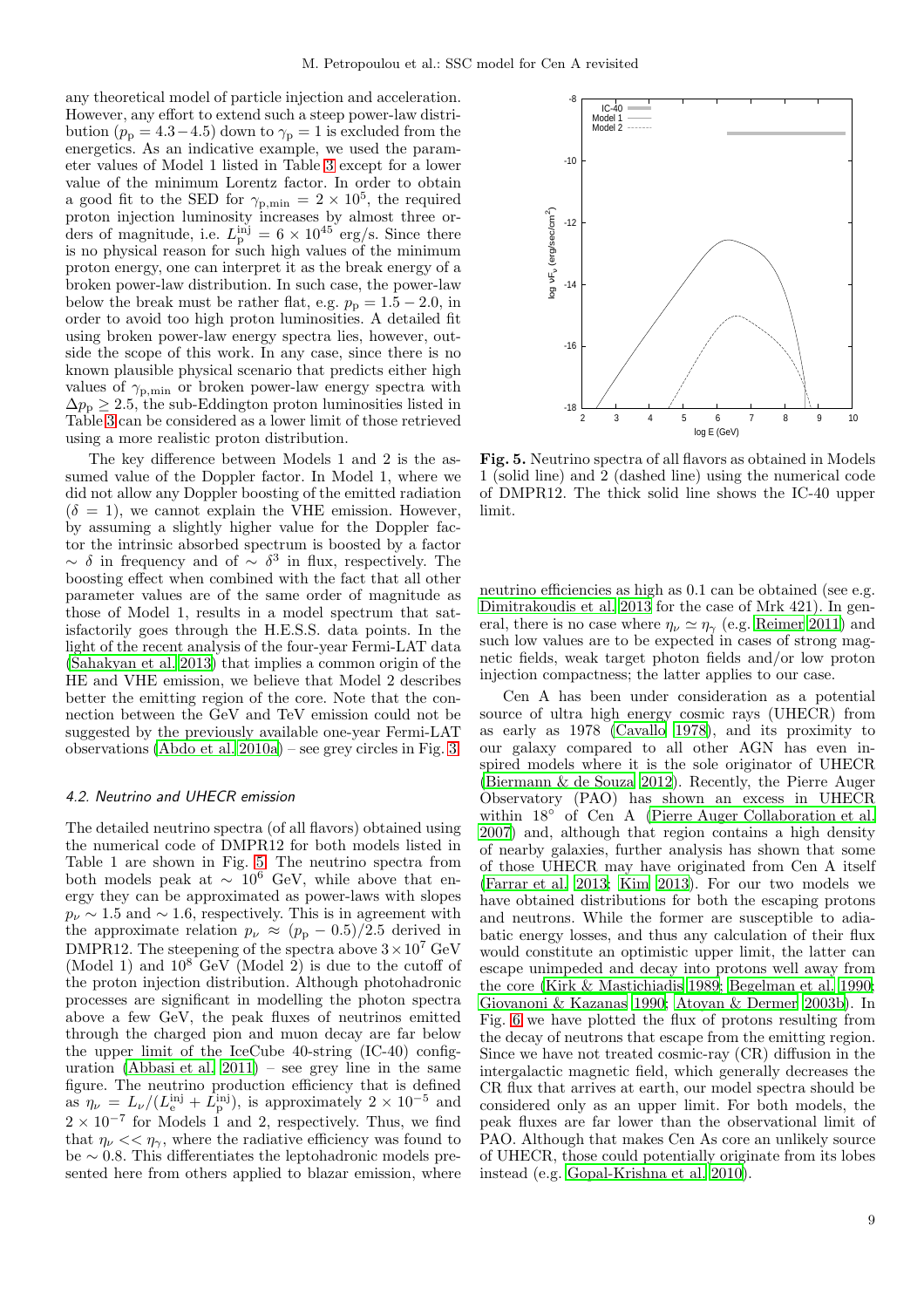any theoretical model of particle injection and acceleration. However, any effort to extend such a steep power-law distribution ( $p_p = 4.3 - 4.5$ ) down to  $\gamma_p = 1$  is excluded from the energetics. As an indicative example, we used the parameter values of Model 1 listed in Table [3](#page-7-0) except for a lower value of the minimum Lorentz factor. In order to obtain a good fit to the SED for  $\gamma_{\text{p,min}} = 2 \times 10^5$ , the required proton injection luminosity increases by almost three orders of magnitude, i.e.  $L_p^{\text{inj}} = 6 \times 10^{45} \text{ erg/s}$ . Since there is no physical reason for such high values of the minimum proton energy, one can interpret it as the break energy of a broken power-law distribution. In such case, the power-law below the break must be rather flat, e.g.  $p_p = 1.5 - 2.0$ , in order to avoid too high proton luminosities. A detailed fit using broken power-law energy spectra lies, however, outside the scope of this work. In any case, since there is no known plausible physical scenario that predicts either high values of  $\gamma_{\text{p,min}}$  or broken power-law energy spectra with  $\Delta p_p > 2.5$ , the sub-Eddington proton luminosities listed in Table [3](#page-7-0) can be considered as a lower limit of those retrieved using a more realistic proton distribution.

The key difference between Models 1 and 2 is the assumed value of the Doppler factor. In Model 1, where we did not allow any Doppler boosting of the emitted radiation  $(\delta = 1)$ , we cannot explain the VHE emission. However, by assuming a slightly higher value for the Doppler factor the intrinsic absorbed spectrum is boosted by a factor  $\sim$  δ in frequency and of  $\sim$  δ<sup>3</sup> in flux, respectively. The boosting effect when combined with the fact that all other parameter values are of the same order of magnitude as those of Model 1, results in a model spectrum that satisfactorily goes through the H.E.S.S. data points. In the light of the recent analysis of the four-year Fermi-LAT data [\(Sahakyan et al. 2013\)](#page-11-4) that implies a common origin of the HE and VHE emission, we believe that Model 2 describes better the emitting region of the core. Note that the connection between the GeV and TeV emission could not be suggested by the previously available one-year Fermi-LAT observations [\(Abdo et al. 2010a\)](#page-10-9) – see grey circles in Fig. [3.](#page-6-1)

## 4.2. Neutrino and UHECR emission

The detailed neutrino spectra (of all flavors) obtained using the numerical code of DMPR12 for both models listed in Table 1 are shown in Fig. [5.](#page-8-0) The neutrino spectra from both models peak at  $\sim 10^6$  GeV, while above that energy they can be approximated as power-laws with slopes  $p_{\nu} \sim 1.5$  and  $\sim 1.6$ , respectively. This is in agreement with the approximate relation  $p_{\nu} \approx (p_{\rm p} - 0.5)/2.5$  derived in DMPR12. The steepening of the spectra above  $3\times10^7~\mathrm{GeV}$ (Model 1) and  $10^8$  GeV (Model 2) is due to the cutoff of the proton injection distribution. Although photohadronic processes are significant in modelling the photon spectra above a few GeV, the peak fluxes of neutrinos emitted through the charged pion and muon decay are far below the upper limit of the IceCube 40-string (IC-40) configuration (Abbasi et al.  $2011$ ) – see grey line in the same figure. The neutrino production efficiency that is defined as  $\eta_{\nu} = L_{\nu}/(L_{\rm e}^{\rm inj} + \tilde{L}_{\rm p}^{\rm inj})$ , is approximately  $2 \times 10^{-5}$  and  $2 \times 10^{-7}$  for Models 1 and 2, respectively. Thus, we find that  $\eta_{\nu} \ll \eta_{\gamma}$ , where the radiative efficiency was found to be ∼ 0.8. This differentiates the leptohadronic models presented here from others applied to blazar emission, where



<span id="page-8-0"></span>Fig. 5. Neutrino spectra of all flavors as obtained in Models 1 (solid line) and 2 (dashed line) using the numerical code of DMPR12. The thick solid line shows the IC-40 upper limit.

neutrino efficiencies as high as 0.1 can be obtained (see e.g. [Dimitrakoudis et al. 2013](#page-10-46) for the case of Mrk 421). In general, there is no case where  $\eta_{\nu} \simeq \eta_{\gamma}$  (e.g. [Reimer 2011\)](#page-10-47) and such low values are to be expected in cases of strong magnetic fields, weak target photon fields and/or low proton injection compactness; the latter applies to our case.

Cen A has been under consideration as a potential source of ultra high energy cosmic rays (UHECR) from as early as 1978 [\(Cavallo 1978\)](#page-10-48), and its proximity to our galaxy compared to all other AGN has even inspired models where it is the sole originator of UHECR [\(Biermann & de Souza 2012\)](#page-10-49). Recently, the Pierre Auger Observatory (PAO) has shown an excess in UHECR within 18◦ of Cen A [\(Pierre Auger Collaboration et al.](#page-10-50) [2007\)](#page-10-50) and, although that region contains a high density of nearby galaxies, further analysis has shown that some of those UHECR may have originated from Cen A itself [\(Farrar et al. 2013;](#page-10-51) [Kim 2013\)](#page-10-52). For our two models we have obtained distributions for both the escaping protons and neutrons. While the former are susceptible to adiabatic energy losses, and thus any calculation of their flux would constitute an optimistic upper limit, the latter can escape unimpeded and decay into protons well away from the core [\(Kirk & Mastichiadis 1989](#page-10-53); [Begelman et al. 1990;](#page-10-54) [Giovanoni & Kazanas 1990](#page-10-55); [Atoyan & Dermer 2003b\)](#page-10-56). In Fig. [6](#page-9-0) we have plotted the flux of protons resulting from the decay of neutrons that escape from the emitting region. Since we have not treated cosmic-ray (CR) diffusion in the intergalactic magnetic field, which generally decreases the CR flux that arrives at earth, our model spectra should be considered only as an upper limit. For both models, the peak fluxes are far lower than the observational limit of PAO. Although that makes Cen As core an unlikely source of UHECR, those could potentially originate from its lobes instead (e.g. [Gopal-Krishna et al. 2010\)](#page-10-57).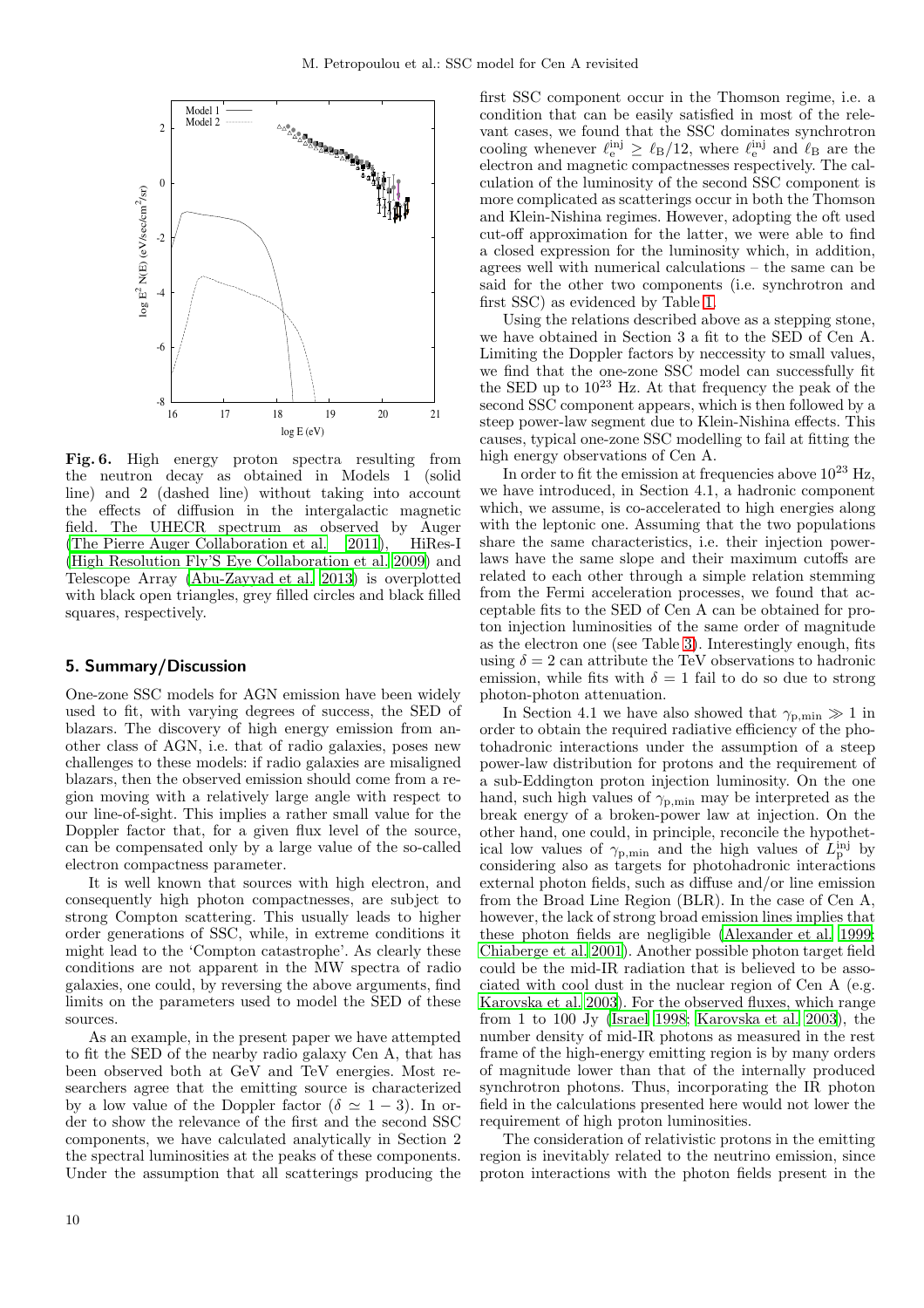

<span id="page-9-0"></span>Fig. 6. High energy proton spectra resulting from the neutron decay as obtained in Models 1 (solid line) and 2 (dashed line) without taking into account the effects of diffusion in the intergalactic magnetic field. The UHECR spectrum as observed by Auger [\(The Pierre Auger Collaboration et al. 2011\)](#page-11-8), HiRes-I [\(High Resolution Fly'S Eye Collaboration et al. 2009\)](#page-10-58) and Telescope Array [\(Abu-Zayyad et al. 2013](#page-10-59)) is overplotted with black open triangles, grey filled circles and black filled squares, respectively.

### 5. Summary/Discussion

One-zone SSC models for AGN emission have been widely used to fit, with varying degrees of success, the SED of blazars. The discovery of high energy emission from another class of AGN, i.e. that of radio galaxies, poses new challenges to these models: if radio galaxies are misaligned blazars, then the observed emission should come from a region moving with a relatively large angle with respect to our line-of-sight. This implies a rather small value for the Doppler factor that, for a given flux level of the source, can be compensated only by a large value of the so-called electron compactness parameter.

It is well known that sources with high electron, and consequently high photon compactnesses, are subject to strong Compton scattering. This usually leads to higher order generations of SSC, while, in extreme conditions it might lead to the 'Compton catastrophe'. As clearly these conditions are not apparent in the MW spectra of radio galaxies, one could, by reversing the above arguments, find limits on the parameters used to model the SED of these sources.

As an example, in the present paper we have attempted to fit the SED of the nearby radio galaxy Cen A, that has been observed both at GeV and TeV energies. Most researchers agree that the emitting source is characterized by a low value of the Doppler factor ( $\delta \simeq 1-3$ ). In order to show the relevance of the first and the second SSC components, we have calculated analytically in Section 2 the spectral luminosities at the peaks of these components. Under the assumption that all scatterings producing the first SSC component occur in the Thomson regime, i.e. a condition that can be easily satisfied in most of the relevant cases, we found that the SSC dominates synchrotron cooling whenever  $\ell_{\rm e}^{\rm inj} \geq \ell_{\rm B}/12$ , where  $\ell_{\rm e}^{\rm inj}$  and  $\ell_{\rm B}$  are the electron and magnetic compactnesses respectively. The calculation of the luminosity of the second SSC component is more complicated as scatterings occur in both the Thomson and Klein-Nishina regimes. However, adopting the oft used cut-off approximation for the latter, we were able to find a closed expression for the luminosity which, in addition, agrees well with numerical calculations – the same can be said for the other two components (i.e. synchrotron and first SSC) as evidenced by Table [1.](#page-4-0)

Using the relations described above as a stepping stone, we have obtained in Section 3 a fit to the SED of Cen A. Limiting the Doppler factors by neccessity to small values, we find that the one-zone SSC model can successfully fit the SED up to  $10^{23}$  Hz. At that frequency the peak of the second SSC component appears, which is then followed by a steep power-law segment due to Klein-Nishina effects. This causes, typical one-zone SSC modelling to fail at fitting the high energy observations of Cen A.

In order to fit the emission at frequencies above  $10^{23}$  Hz, we have introduced, in Section 4.1, a hadronic component which, we assume, is co-accelerated to high energies along with the leptonic one. Assuming that the two populations share the same characteristics, i.e. their injection powerlaws have the same slope and their maximum cutoffs are related to each other through a simple relation stemming from the Fermi acceleration processes, we found that acceptable fits to the SED of Cen A can be obtained for proton injection luminosities of the same order of magnitude as the electron one (see Table [3\)](#page-7-0). Interestingly enough, fits using  $\delta = 2$  can attribute the TeV observations to hadronic emission, while fits with  $\delta = 1$  fail to do so due to strong photon-photon attenuation.

In Section 4.1 we have also showed that  $\gamma_{p,\text{min}} \gg 1$  in order to obtain the required radiative efficiency of the photohadronic interactions under the assumption of a steep power-law distribution for protons and the requirement of a sub-Eddington proton injection luminosity. On the one hand, such high values of  $\gamma_{p,min}$  may be interpreted as the break energy of a broken-power law at injection. On the other hand, one could, in principle, reconcile the hypothetical low values of  $\gamma_{p,\text{min}}$  and the high values of  $L_p^{\text{inj}}$  by considering also as targets for photohadronic interactions external photon fields, such as diffuse and/or line emission from the Broad Line Region (BLR). In the case of Cen A, however, the lack of strong broad emission lines implies that these photon fields are negligible [\(Alexander et al. 1999;](#page-10-60) [Chiaberge et al. 2001\)](#page-10-3). Another possible photon target field could be the mid-IR radiation that is believed to be associated with cool dust in the nuclear region of Cen A (e.g. [Karovska et al. 2003\)](#page-10-61). For the observed fluxes, which range from 1 to 100 Jy [\(Israel 1998;](#page-10-0) [Karovska et al. 2003\)](#page-10-61), the number density of mid-IR photons as measured in the rest frame of the high-energy emitting region is by many orders of magnitude lower than that of the internally produced synchrotron photons. Thus, incorporating the IR photon field in the calculations presented here would not lower the requirement of high proton luminosities.

The consideration of relativistic protons in the emitting region is inevitably related to the neutrino emission, since proton interactions with the photon fields present in the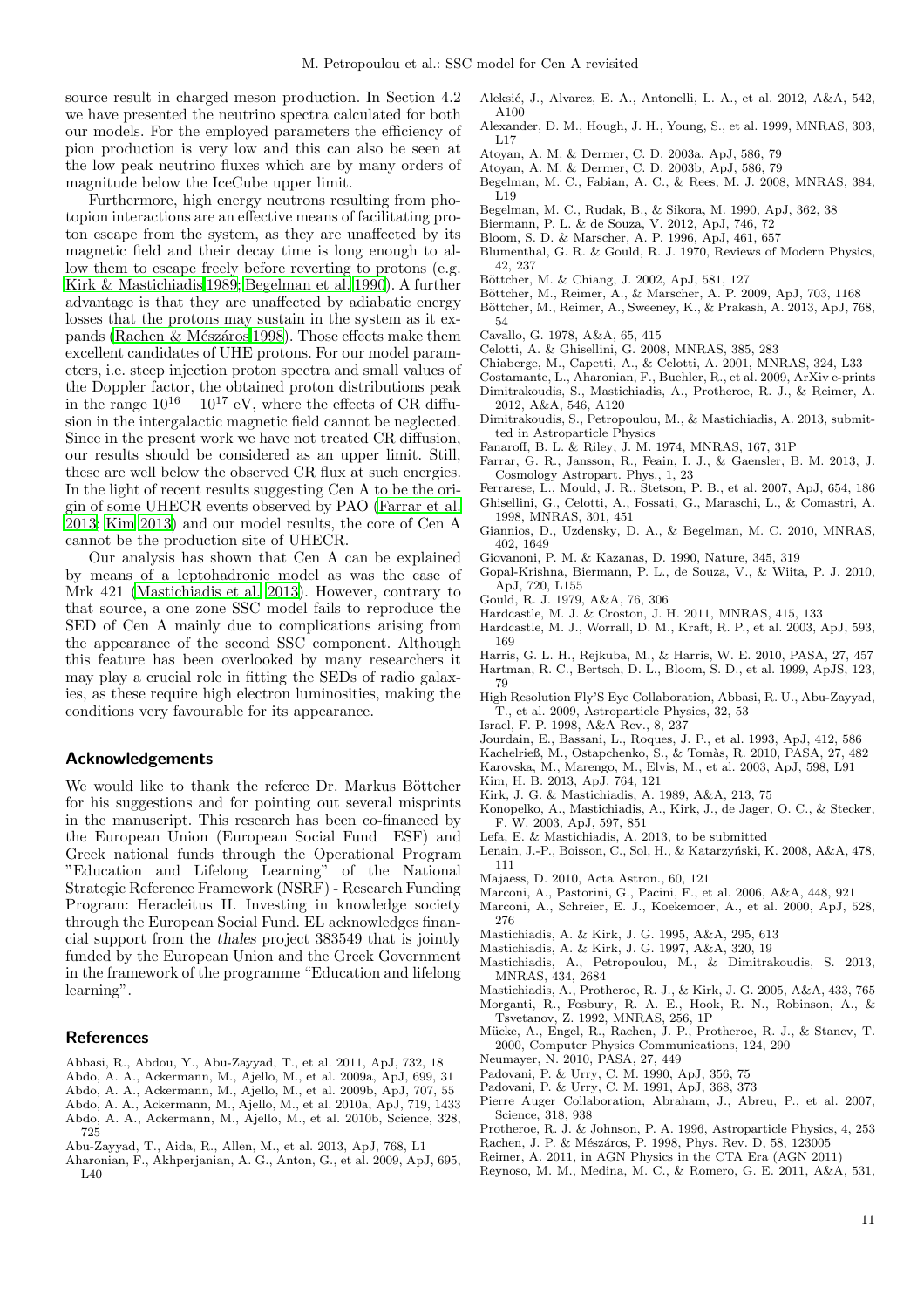source result in charged meson production. In Section 4.2 we have presented the neutrino spectra calculated for both our models. For the employed parameters the efficiency of pion production is very low and this can also be seen at the low peak neutrino fluxes which are by many orders of magnitude below the IceCube upper limit.

Furthermore, high energy neutrons resulting from photopion interactions are an effective means of facilitating proton escape from the system, as they are unaffected by its magnetic field and their decay time is long enough to allow them to escape freely before reverting to protons (e.g. [Kirk & Mastichiadis 1989;](#page-10-53) [Begelman et al. 1990](#page-10-54)). A further advantage is that they are unaffected by adiabatic energy losses that the protons may sustain in the system as it expands (Rachen & Mészáros 1998). Those effects make them excellent candidates of UHE protons. For our model parameters, i.e. steep injection proton spectra and small values of the Doppler factor, the obtained proton distributions peak in the range  $10^{16} - 10^{17}$  eV, where the effects of CR diffusion in the intergalactic magnetic field cannot be neglected. Since in the present work we have not treated CR diffusion, our results should be considered as an upper limit. Still, these are well below the observed CR flux at such energies. In the light of recent results suggesting Cen A to be the origin of some UHECR events observed by PAO [\(Farrar et al.](#page-10-51) [2013](#page-10-51); [Kim 2013\)](#page-10-52) and our model results, the core of Cen A cannot be the production site of UHECR.

Our analysis has shown that Cen A can be explained by means of a leptohadronic model as was the case of Mrk 421 [\(Mastichiadis et al. 2013](#page-10-63)). However, contrary to that source, a one zone SSC model fails to reproduce the SED of Cen A mainly due to complications arising from the appearance of the second SSC component. Although this feature has been overlooked by many researchers it may play a crucial role in fitting the SEDs of radio galaxies, as these require high electron luminosities, making the conditions very favourable for its appearance.

# Acknowledgements

We would like to thank the referee Dr. Markus Böttcher for his suggestions and for pointing out several misprints in the manuscript. This research has been co-financed by the European Union (European Social Fund ESF) and Greek national funds through the Operational Program "Education and Lifelong Learning" of the National Strategic Reference Framework (NSRF) - Research Funding Program: Heracleitus II. Investing in knowledge society through the European Social Fund. EL acknowledges financial support from the thales project 383549 that is jointly funded by the European Union and the Greek Government in the framework of the programme "Education and lifelong learning".

## References

- <span id="page-10-45"></span>Abbasi, R., Abdou, Y., Abu-Zayyad, T., et al. 2011, ApJ, 732, 18
- <span id="page-10-21"></span>Abdo, A. A., Ackermann, M., Ajello, M., et al. 2009a, ApJ, 699, 31
- <span id="page-10-20"></span>Abdo, A. A., Ackermann, M., Ajello, M., et al. 2009b, ApJ, 707, 55
- <span id="page-10-22"></span><span id="page-10-9"></span>Abdo, A. A., Ackermann, M., Ajello, M., et al. 2010a, ApJ, 719, 1433 Abdo, A. A., Ackermann, M., Ajello, M., et al. 2010b, Science, 328, 725
- <span id="page-10-59"></span>Abu-Zayyad, T., Aida, R., Allen, M., et al. 2013, ApJ, 768, L1
- <span id="page-10-8"></span>Aharonian, F., Akhperjanian, A. G., Anton, G., et al. 2009, ApJ, 695, L40
- <span id="page-10-25"></span>Aleksić, J., Alvarez, E. A., Antonelli, L. A., et al. 2012, A&A, 542, A100
- <span id="page-10-60"></span>Alexander, D. M., Hough, J. H., Young, S., et al. 1999, MNRAS, 303, L17
- <span id="page-10-41"></span>Atoyan, A. M. & Dermer, C. D. 2003a, ApJ, 586, 79
- <span id="page-10-56"></span>Atoyan, A. M. & Dermer, C. D. 2003b, ApJ, 586, 79
- <span id="page-10-17"></span>Begelman, M. C., Fabian, A. C., & Rees, M. J. 2008, MNRAS, 384,  $\tilde{L}19$
- <span id="page-10-54"></span>Begelman, M. C., Rudak, B., & Sikora, M. 1990, ApJ, 362, 38
- <span id="page-10-49"></span>Biermann, P. L. & de Souza, V. 2012, ApJ, 746, 72
- <span id="page-10-30"></span>Bloom, S. D. & Marscher, A. P. 1996, ApJ, 461, 657
- <span id="page-10-29"></span>Blumenthal, G. R. & Gould, R. J. 1970, Reviews of Modern Physics, 42, 237
- <span id="page-10-16"></span>Böttcher, M. & Chiang, J. 2002, ApJ, 581, 127
- <span id="page-10-18"></span>Böttcher, M., Reimer, A., & Marscher, A. P. 2009, ApJ, 703, 1168
- <span id="page-10-44"></span>Böttcher, M., Reimer, A., Sweeney, K., & Prakash, A. 2013, ApJ, 768, 54
- <span id="page-10-48"></span>Cavallo, G. 1978, A&A, 65, 415
- <span id="page-10-14"></span>Celotti, A. & Ghisellini, G. 2008, MNRAS, 385, 283
- <span id="page-10-3"></span>Chiaberge, M., Capetti, A., & Celotti, A. 2001, MNRAS, 324, L33
- <span id="page-10-37"></span><span id="page-10-19"></span>Costamante, L., Aharonian, F., Buehler, R., et al. 2009, ArXiv e-prints Dimitrakoudis, S., Mastichiadis, A., Protheroe, R. J., & Reimer, A. 2012, A&A, 546, A120
- <span id="page-10-46"></span>Dimitrakoudis, S., Petropoulou, M., & Mastichiadis, A. 2013, submitted in Astroparticle Physics
- <span id="page-10-1"></span>Fanaroff, B. L. & Riley, J. M. 1974, MNRAS, 167, 31P
- <span id="page-10-51"></span>Farrar, G. R., Jansson, R., Feain, I. J., & Gaensler, B. M. 2013, J. Cosmology Astropart. Phys., 1, 23
- <span id="page-10-10"></span>Ferrarese, L., Mould, J. R., Stetson, P. B., et al. 2007, ApJ, 654, 186 Ghisellini, G., Celotti, A., Fossati, G., Maraschi, L., & Comastri, A.
- <span id="page-10-13"></span>1998, MNRAS, 301, 451
- <span id="page-10-23"></span>Giannios, D., Uzdensky, D. A., & Begelman, M. C. 2010, MNRAS, 402, 1649
- <span id="page-10-55"></span>Giovanoni, P. M. & Kazanas, D. 1990, Nature, 345, 319
- <span id="page-10-57"></span>Gopal-Krishna, Biermann, P. L., de Souza, V., & Wiita, P. J. 2010, ApJ, 720, L155
- <span id="page-10-28"></span>Gould, R. J. 1979, A&A, 76, 306
- <span id="page-10-36"></span>Hardcastle, M. J. & Croston, J. H. 2011, MNRAS, 415, 133
- <span id="page-10-6"></span>Hardcastle, M. J., Worrall, D. M., Kraft, R. P., et al. 2003, ApJ, 593, 169
- <span id="page-10-12"></span>Harris, G. L. H., Rejkuba, M., & Harris, W. E. 2010, PASA, 27, 457
- <span id="page-10-7"></span>Hartman, R. C., Bertsch, D. L., Bloom, S. D., et al. 1999, ApJS, 123, 79
- <span id="page-10-58"></span>High Resolution Fly'S Eye Collaboration, Abbasi, R. U., Abu-Zayyad, T., et al. 2009, Astroparticle Physics, 32, 53
- <span id="page-10-0"></span>Israel, F. P. 1998, A&A Rev., 8, 237
- <span id="page-10-31"></span>Jourdain, E., Bassani, L., Roques, J. P., et al. 1993, ApJ, 412, 586
- <span id="page-10-34"></span>Kachelrieß, M., Ostapchenko, S., & Tomàs, R. 2010, PASA, 27, 482
- <span id="page-10-61"></span>Karovska, M., Marengo, M., Elvis, M., et al. 2003, ApJ, 598, L91
- <span id="page-10-52"></span>Kim, H. B. 2013, ApJ, 764, 121
- <span id="page-10-53"></span>Kirk, J. G. & Mastichiadis, A. 1989, A&A, 213, 75
- <span id="page-10-24"></span>Konopelko, A., Mastichiadis, A., Kirk, J., de Jager, O. C., & Stecker, F. W. 2003, ApJ, 597, 851
- <span id="page-10-26"></span>Lefa, E. & Mastichiadis, A. 2013, to be submitted
- <span id="page-10-33"></span>Lenain, J.-P., Boisson, C., Sol, H., & Katarzyński, K. 2008, A&A, 478, 111
- <span id="page-10-11"></span>Majaess, D. 2010, Acta Astron., 60, 121
- <span id="page-10-42"></span>Marconi, A., Pastorini, G., Pacini, F., et al. 2006, A&A, 448, 921
- <span id="page-10-32"></span>Marconi, A., Schreier, E. J., Koekemoer, A., et al. 2000, ApJ, 528, 276
- <span id="page-10-27"></span>Mastichiadis, A. & Kirk, J. G. 1995, A&A, 295, 613
- <span id="page-10-15"></span>Mastichiadis, A. & Kirk, J. G. 1997, A&A, 320, 19
- <span id="page-10-63"></span>Mastichiadis, A., Petropoulou, M., & Dimitrakoudis, S. 2013, MNRAS, 434, 2684
- <span id="page-10-39"></span>Mastichiadis, A., Protheroe, R. J., & Kirk, J. G. 2005, A&A, 433, 765 Morganti, R., Fosbury, R. A. E., Hook, R. N., Robinson, A., &
- <span id="page-10-40"></span><span id="page-10-2"></span>Tsvetanov, Z. 1992, MNRAS, 256, 1P Mücke, A., Engel, R., Rachen, J. P., Protheroe, R. J., & Stanev, T.
- 2000, Computer Physics Communications, 124, 290
- <span id="page-10-43"></span>Neumayer, N. 2010, PASA, 27, 449
- <span id="page-10-4"></span>Padovani, P. & Urry, C. M. 1990, ApJ, 356, 75
- <span id="page-10-5"></span>Padovani, P. & Urry, C. M. 1991, ApJ, 368, 373
- <span id="page-10-50"></span>Pierre Auger Collaboration, Abraham, J., Abreu, P., et al. 2007, Science, 318, 938
- <span id="page-10-38"></span>Protheroe, R. J. & Johnson, P. A. 1996, Astroparticle Physics, 4, 253 Rachen, J. P. & Mészáros, P. 1998, Phys. Rev. D, 58, 123005
- <span id="page-10-62"></span><span id="page-10-47"></span>Reimer, A. 2011, in AGN Physics in the CTA Era (AGN 2011)
- <span id="page-10-35"></span>Reynoso, M. M., Medina, M. C., & Romero, G. E. 2011, A&A, 531,